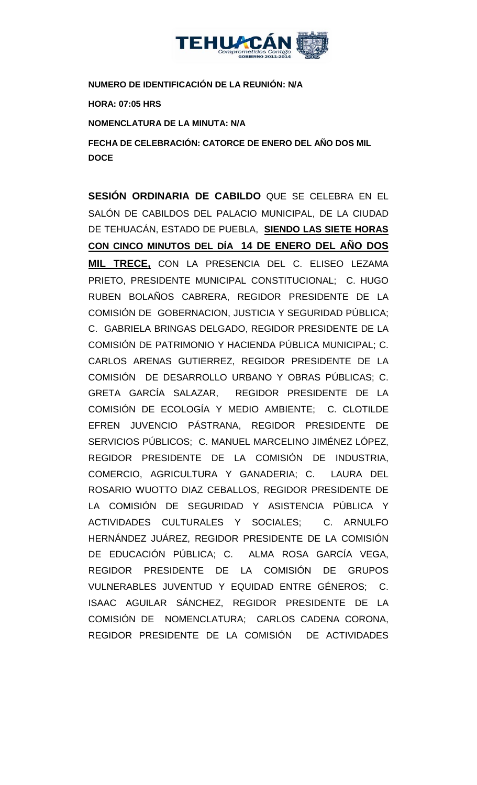

**NUMERO DE IDENTIFICACIÓN DE LA REUNIÓN: N/A**

**HORA: 07:05 HRS**

**NOMENCLATURA DE LA MINUTA: N/A**

**FECHA DE CELEBRACIÓN: CATORCE DE ENERO DEL AÑO DOS MIL DOCE**

**SESIÓN ORDINARIA DE CABILDO** QUE SE CELEBRA EN EL SALÓN DE CABILDOS DEL PALACIO MUNICIPAL, DE LA CIUDAD DE TEHUACÁN, ESTADO DE PUEBLA, **SIENDO LAS SIETE HORAS CON CINCO MINUTOS DEL DÍA 14 DE ENERO DEL AÑO DOS MIL TRECE,** CON LA PRESENCIA DEL C. ELISEO LEZAMA PRIETO, PRESIDENTE MUNICIPAL CONSTITUCIONAL; C. HUGO RUBEN BOLAÑOS CABRERA, REGIDOR PRESIDENTE DE LA COMISIÓN DE GOBERNACION, JUSTICIA Y SEGURIDAD PÚBLICA; C. GABRIELA BRINGAS DELGADO, REGIDOR PRESIDENTE DE LA COMISIÓN DE PATRIMONIO Y HACIENDA PÚBLICA MUNICIPAL; C. CARLOS ARENAS GUTIERREZ, REGIDOR PRESIDENTE DE LA COMISIÓN DE DESARROLLO URBANO Y OBRAS PÚBLICAS; C. GRETA GARCÍA SALAZAR, REGIDOR PRESIDENTE DE LA COMISIÓN DE ECOLOGÍA Y MEDIO AMBIENTE; C. CLOTILDE EFREN JUVENCIO PÁSTRANA, REGIDOR PRESIDENTE DE SERVICIOS PÚBLICOS; C. MANUEL MARCELINO JIMÉNEZ LÓPEZ, REGIDOR PRESIDENTE DE LA COMISIÓN DE INDUSTRIA, COMERCIO, AGRICULTURA Y GANADERIA; C. LAURA DEL ROSARIO WUOTTO DIAZ CEBALLOS, REGIDOR PRESIDENTE DE LA COMISIÓN DE SEGURIDAD Y ASISTENCIA PÚBLICA Y ACTIVIDADES CULTURALES Y SOCIALES; C. ARNULFO HERNÁNDEZ JUÁREZ, REGIDOR PRESIDENTE DE LA COMISIÓN DE EDUCACIÓN PÚBLICA; C. ALMA ROSA GARCÍA VEGA, REGIDOR PRESIDENTE DE LA COMISIÓN DE GRUPOS VULNERABLES JUVENTUD Y EQUIDAD ENTRE GÉNEROS; C. ISAAC AGUILAR SÁNCHEZ, REGIDOR PRESIDENTE DE LA COMISIÓN DE NOMENCLATURA; CARLOS CADENA CORONA, REGIDOR PRESIDENTE DE LA COMISIÓN DE ACTIVIDADES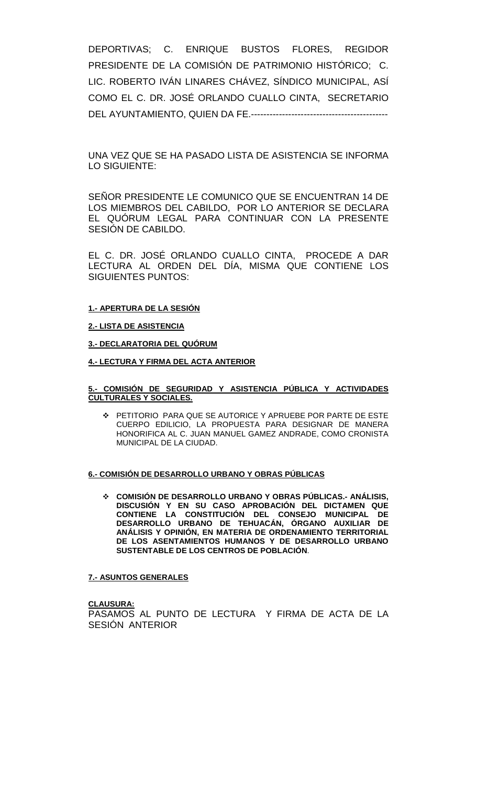DEPORTIVAS; C. ENRIQUE BUSTOS FLORES, REGIDOR PRESIDENTE DE LA COMISIÓN DE PATRIMONIO HISTÓRICO; C. LIC. ROBERTO IVÁN LINARES CHÁVEZ, SÍNDICO MUNICIPAL, ASÍ COMO EL C. DR. JOSÉ ORLANDO CUALLO CINTA, SECRETARIO DEL AYUNTAMIENTO, QUIEN DA FE.--------------------------------------------

UNA VEZ QUE SE HA PASADO LISTA DE ASISTENCIA SE INFORMA LO SIGUIENTE:

SEÑOR PRESIDENTE LE COMUNICO QUE SE ENCUENTRAN 14 DE LOS MIEMBROS DEL CABILDO, POR LO ANTERIOR SE DECLARA EL QUÓRUM LEGAL PARA CONTINUAR CON LA PRESENTE SESIÓN DE CABILDO.

EL C. DR. JOSÉ ORLANDO CUALLO CINTA, PROCEDE A DAR LECTURA AL ORDEN DEL DÍA, MISMA QUE CONTIENE LOS SIGUIENTES PUNTOS:

#### **1.- APERTURA DE LA SESIÓN**

#### **2.- LISTA DE ASISTENCIA**

**3.- DECLARATORIA DEL QUÓRUM**

**4.- LECTURA Y FIRMA DEL ACTA ANTERIOR**

#### **5.- COMISIÓN DE SEGURIDAD Y ASISTENCIA PÚBLICA Y ACTIVIDADES CULTURALES Y SOCIALES.**

 PETITORIO PARA QUE SE AUTORICE Y APRUEBE POR PARTE DE ESTE CUERPO EDILICIO, LA PROPUESTA PARA DESIGNAR DE MANERA HONORIFICA AL C. JUAN MANUEL GAMEZ ANDRADE, COMO CRONISTA MUNICIPAL DE LA CIUDAD.

#### **6.- COMISIÓN DE DESARROLLO URBANO Y OBRAS PÚBLICAS**

 **COMISIÓN DE DESARROLLO URBANO Y OBRAS PÚBLICAS.- ANÁLISIS, DISCUSIÓN Y EN SU CASO APROBACIÓN DEL DICTAMEN QUE CONTIENE LA CONSTITUCIÓN DEL CONSEJO MUNICIPAL DE DESARROLLO URBANO DE TEHUACÁN, ÓRGANO AUXILIAR DE ANÁLISIS Y OPINIÓN, EN MATERIA DE ORDENAMIENTO TERRITORIAL DE LOS ASENTAMIENTOS HUMANOS Y DE DESARROLLO URBANO SUSTENTABLE DE LOS CENTROS DE POBLACIÓN**.

#### **7.- ASUNTOS GENERALES**

**CLAUSURA:** PASAMOS AL PUNTO DE LECTURA Y FIRMA DE ACTA DE LA SESIÓN ANTERIOR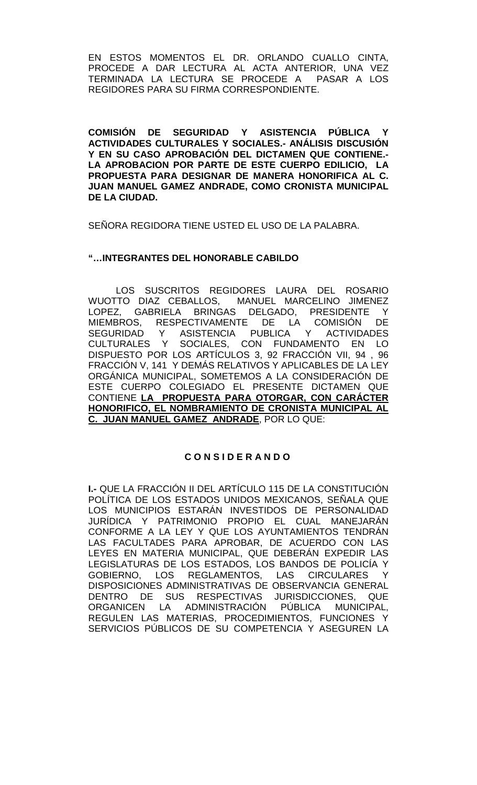EN ESTOS MOMENTOS EL DR. ORLANDO CUALLO CINTA, PROCEDE A DAR LECTURA AL ACTA ANTERIOR, UNA VEZ TERMINADA LA LECTURA SE PROCEDE A REGIDORES PARA SU FIRMA CORRESPONDIENTE.

**COMISIÓN DE SEGURIDAD Y ASISTENCIA PÚBLICA Y ACTIVIDADES CULTURALES Y SOCIALES.- ANÁLISIS DISCUSIÓN Y EN SU CASO APROBACIÓN DEL DICTAMEN QUE CONTIENE.- LA APROBACION POR PARTE DE ESTE CUERPO EDILICIO, LA PROPUESTA PARA DESIGNAR DE MANERA HONORIFICA AL C. JUAN MANUEL GAMEZ ANDRADE, COMO CRONISTA MUNICIPAL DE LA CIUDAD.**

SEÑORA REGIDORA TIENE USTED EL USO DE LA PALABRA.

# **"…INTEGRANTES DEL HONORABLE CABILDO**

LOS SUSCRITOS REGIDORES LAURA DEL ROSARIO WUOTTO DIAZ CEBALLOS, MANUEL MARCELINO JIMENEZ LOPEZ, GABRIELA BRINGAS DELGADO, PRESIDENTE Y<br>MIEMBROS. RESPECTIVAMENTE DE LA COMISIÓN DE MIEMBROS, RESPECTIVAMENTE DE LA COMISIÓN<br>SEGURIDAD Y ASISTENCIA PUBLICA Y ACTIVIDAI Y ASISTENCIA PUBLICA Y ACTIVIDADES CULTURALES Y SOCIALES, CON FUNDAMENTO EN LO DISPUESTO POR LOS ARTÍCULOS 3, 92 FRACCIÓN VII, 94 , 96 FRACCIÓN V, 141 Y DEMÁS RELATIVOS Y APLICABLES DE LA LEY ORGÁNICA MUNICIPAL, SOMETEMOS A LA CONSIDERACIÓN DE ESTE CUERPO COLEGIADO EL PRESENTE DICTAMEN QUE CONTIENE **LA PROPUESTA PARA OTORGAR, CON CARÁCTER HONORIFICO, EL NOMBRAMIENTO DE CRONISTA MUNICIPAL AL C. JUAN MANUEL GAMEZ ANDRADE**, POR LO QUE:

# **C O N S I D E R A N D O**

**I.-** QUE LA FRACCIÓN II DEL ARTÍCULO 115 DE LA CONSTITUCIÓN POLÍTICA DE LOS ESTADOS UNIDOS MEXICANOS, SEÑALA QUE LOS MUNICIPIOS ESTARÁN INVESTIDOS DE PERSONALIDAD JURÍDICA Y PATRIMONIO PROPIO EL CUAL MANEJARÁN CONFORME A LA LEY Y QUE LOS AYUNTAMIENTOS TENDRÁN LAS FACULTADES PARA APROBAR, DE ACUERDO CON LAS LEYES EN MATERIA MUNICIPAL, QUE DEBERÁN EXPEDIR LAS LEGISLATURAS DE LOS ESTADOS, LOS BANDOS DE POLICÍA Y GOBIERNO, LOS REGLAMENTOS, LAS CIRCULARES Y DISPOSICIONES ADMINISTRATIVAS DE OBSERVANCIA GENERAL DENTRO DE SUS RESPECTIVAS JURISDICCIONES, QUE ORGANICEN LA ADMINISTRACIÓN PÚBLICA MUNICIPAL, REGULEN LAS MATERIAS, PROCEDIMIENTOS, FUNCIONES Y SERVICIOS PÚBLICOS DE SU COMPETENCIA Y ASEGUREN LA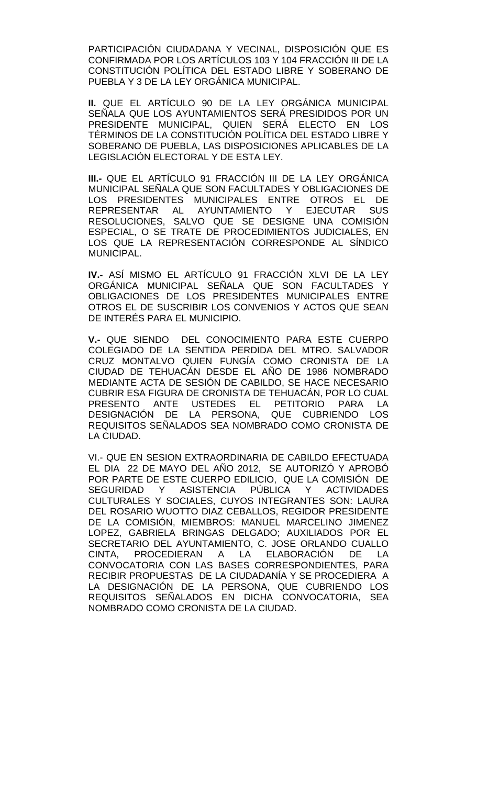PARTICIPACIÓN CIUDADANA Y VECINAL, DISPOSICIÓN QUE ES CONFIRMADA POR LOS ARTÍCULOS 103 Y 104 FRACCIÓN III DE LA CONSTITUCIÓN POLÍTICA DEL ESTADO LIBRE Y SOBERANO DE PUEBLA Y 3 DE LA LEY ORGÁNICA MUNICIPAL.

**II.** QUE EL ARTÍCULO 90 DE LA LEY ORGÁNICA MUNICIPAL SEÑALA QUE LOS AYUNTAMIENTOS SERÁ PRESIDIDOS POR UN PRESIDENTE MUNICIPAL, QUIEN SERÁ ELECTO EN LOS TÉRMINOS DE LA CONSTITUCIÓN POLÍTICA DEL ESTADO LIBRE Y SOBERANO DE PUEBLA, LAS DISPOSICIONES APLICABLES DE LA LEGISLACIÓN ELECTORAL Y DE ESTA LEY.

**III.-** QUE EL ARTÍCULO 91 FRACCIÓN III DE LA LEY ORGÁNICA MUNICIPAL SEÑALA QUE SON FACULTADES Y OBLIGACIONES DE LOS PRESIDENTES MUNICIPALES ENTRE OTROS EL DE<br>REPRESENTAR AL AYUNTAMIENTO Y EJECUTAR SUS REPRESENTAR AL RESOLUCIONES, SALVO QUE SE DESIGNE UNA COMISIÓN ESPECIAL, O SE TRATE DE PROCEDIMIENTOS JUDICIALES, EN LOS QUE LA REPRESENTACIÓN CORRESPONDE AL SÍNDICO MUNICIPAL.

**IV.-** ASÍ MISMO EL ARTÍCULO 91 FRACCIÓN XLVI DE LA LEY ORGÁNICA MUNICIPAL SEÑALA QUE SON FACULTADES Y OBLIGACIONES DE LOS PRESIDENTES MUNICIPALES ENTRE OTROS EL DE SUSCRIBIR LOS CONVENIOS Y ACTOS QUE SEAN DE INTERÉS PARA EL MUNICIPIO.

**V.-** QUE SIENDO DEL CONOCIMIENTO PARA ESTE CUERPO COLEGIADO DE LA SENTIDA PERDIDA DEL MTRO. SALVADOR CRUZ MONTALVO QUIEN FUNGÍA COMO CRONISTA DE LA CIUDAD DE TEHUACÁN DESDE EL AÑO DE 1986 NOMBRADO MEDIANTE ACTA DE SESIÓN DE CABILDO, SE HACE NECESARIO CUBRIR ESA FIGURA DE CRONISTA DE TEHUACÁN, POR LO CUAL PRESENTO ANTE USTEDES EL PETITORIO PARA LA DESIGNACIÓN DE LA PERSONA, QUE CUBRIENDO LOS REQUISITOS SEÑALADOS SEA NOMBRADO COMO CRONISTA DE LA CIUDAD.

VI.- QUE EN SESION EXTRAORDINARIA DE CABILDO EFECTUADA EL DIA 22 DE MAYO DEL AÑO 2012, SE AUTORIZÓ Y APROBÓ POR PARTE DE ESTE CUERPO EDILICIO, QUE LA COMISIÓN DE SEGURIDAD Y ASISTENCIA PÚBLICA Y ACTIVIDADES CULTURALES Y SOCIALES, CUYOS INTEGRANTES SON: LAURA DEL ROSARIO WUOTTO DIAZ CEBALLOS, REGIDOR PRESIDENTE DE LA COMISIÓN, MIEMBROS: MANUEL MARCELINO JIMENEZ LOPEZ, GABRIELA BRINGAS DELGADO; AUXILIADOS POR EL SECRETARIO DEL AYUNTAMIENTO, C. JOSE ORLANDO CUALLO CINTA, PROCEDIERAN A LA ELABORACIÓN DE LA CONVOCATORIA CON LAS BASES CORRESPONDIENTES, PARA RECIBIR PROPUESTAS DE LA CIUDADANÍA Y SE PROCEDIERA A LA DESIGNACIÓN DE LA PERSONA, QUE CUBRIENDO LOS REQUISITOS SEÑALADOS EN DICHA CONVOCATORIA, SEA NOMBRADO COMO CRONISTA DE LA CIUDAD.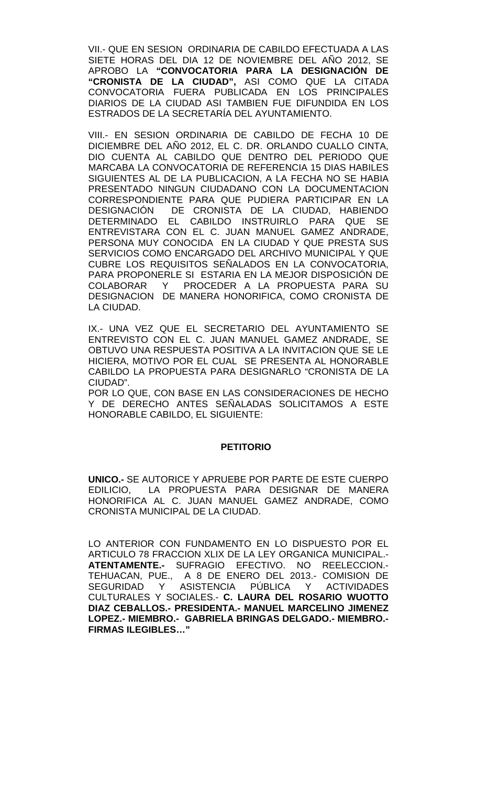VII.- QUE EN SESION ORDINARIA DE CABILDO EFECTUADA A LAS SIETE HORAS DEL DIA 12 DE NOVIEMBRE DEL AÑO 2012, SE APROBO LA **"CONVOCATORIA PARA LA DESIGNACIÓN DE "CRONISTA DE LA CIUDAD",** ASI COMO QUE LA CITADA CONVOCATORIA FUERA PUBLICADA EN LOS PRINCIPALES DIARIOS DE LA CIUDAD ASI TAMBIEN FUE DIFUNDIDA EN LOS ESTRADOS DE LA SECRETARÍA DEL AYUNTAMIENTO.

VIII.- EN SESION ORDINARIA DE CABILDO DE FECHA 10 DE DICIEMBRE DEL AÑO 2012, EL C. DR. ORLANDO CUALLO CINTA, DIO CUENTA AL CABILDO QUE DENTRO DEL PERIODO QUE MARCABA LA CONVOCATORIA DE REFERENCIA 15 DIAS HABILES SIGUIENTES AL DE LA PUBLICACION, A LA FECHA NO SE HABIA PRESENTADO NINGUN CIUDADANO CON LA DOCUMENTACION CORRESPONDIENTE PARA QUE PUDIERA PARTICIPAR EN LA DESIGNACIÓN DE CRONISTA DE LA CIUDAD, HABIENDO DETERMINADO EL CABILDO INSTRUIRLO PARA QUE SE ENTREVISTARA CON EL C. JUAN MANUEL GAMEZ ANDRADE, PERSONA MUY CONOCIDA EN LA CIUDAD Y QUE PRESTA SUS SERVICIOS COMO ENCARGADO DEL ARCHIVO MUNICIPAL Y QUE CUBRE LOS REQUISITOS SEÑALADOS EN LA CONVOCATORIA, PARA PROPONERLE SI ESTARIA EN LA MEJOR DISPOSICIÓN DE COLABORAR Y PROCEDER A LA PROPUESTA PARA SU DESIGNACION DE MANERA HONORIFICA, COMO CRONISTA DE LA CIUDAD.

IX.- UNA VEZ QUE EL SECRETARIO DEL AYUNTAMIENTO SE ENTREVISTO CON EL C. JUAN MANUEL GAMEZ ANDRADE, SE OBTUVO UNA RESPUESTA POSITIVA A LA INVITACION QUE SE LE HICIERA, MOTIVO POR EL CUAL SE PRESENTA AL HONORABLE CABILDO LA PROPUESTA PARA DESIGNARLO "CRONISTA DE LA CIUDAD".

POR LO QUE, CON BASE EN LAS CONSIDERACIONES DE HECHO Y DE DERECHO ANTES SEÑALADAS SOLICITAMOS A ESTE HONORABLE CABILDO, EL SIGUIENTE:

### **PETITORIO**

**UNICO.-** SE AUTORICE Y APRUEBE POR PARTE DE ESTE CUERPO EDILICIO, LA PROPUESTA PARA DESIGNAR DE MANERA HONORIFICA AL C. JUAN MANUEL GAMEZ ANDRADE, COMO CRONISTA MUNICIPAL DE LA CIUDAD.

LO ANTERIOR CON FUNDAMENTO EN LO DISPUESTO POR EL ARTICULO 78 FRACCION XLIX DE LA LEY ORGANICA MUNICIPAL.- **ATENTAMENTE.-** SUFRAGIO EFECTIVO. NO REELECCION.- TEHUACAN, PUE., A 8 DE ENERO DEL 2013.- COMISION DE SEGURIDAD Y ASISTENCIA PÚBLICA Y ACTIVIDADES CULTURALES Y SOCIALES.- **C. LAURA DEL ROSARIO WUOTTO DIAZ CEBALLOS.- PRESIDENTA.- MANUEL MARCELINO JIMENEZ LOPEZ.- MIEMBRO.- GABRIELA BRINGAS DELGADO.- MIEMBRO.- FIRMAS ILEGIBLES…"**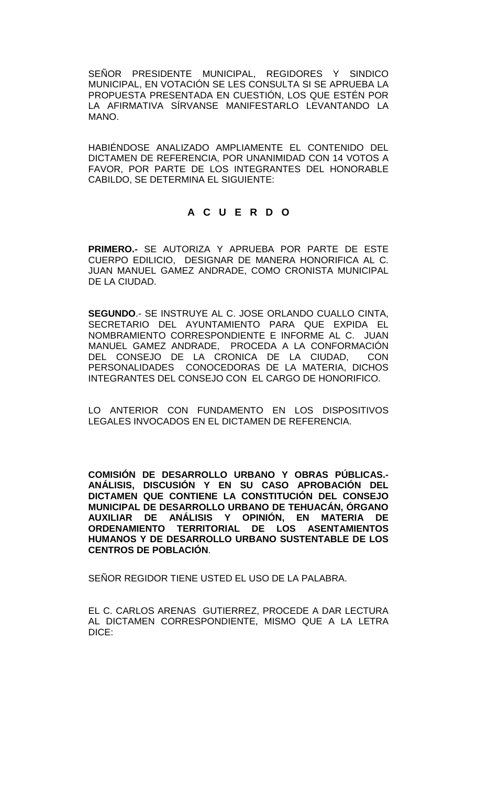SEÑOR PRESIDENTE MUNICIPAL, REGIDORES Y SINDICO MUNICIPAL, EN VOTACIÓN SE LES CONSULTA SI SE APRUEBA LA PROPUESTA PRESENTADA EN CUESTIÓN, LOS QUE ESTÉN POR LA AFIRMATIVA SÍRVANSE MANIFESTARLO LEVANTANDO LA MANO.

HABIÉNDOSE ANALIZADO AMPLIAMENTE EL CONTENIDO DEL DICTAMEN DE REFERENCIA, POR UNANIMIDAD CON 14 VOTOS A FAVOR, POR PARTE DE LOS INTEGRANTES DEL HONORABLE CABILDO, SE DETERMINA EL SIGUIENTE:

## **A C U E R D O**

**PRIMERO.-** SE AUTORIZA Y APRUEBA POR PARTE DE ESTE CUERPO EDILICIO, DESIGNAR DE MANERA HONORIFICA AL C. JUAN MANUEL GAMEZ ANDRADE, COMO CRONISTA MUNICIPAL DE LA CIUDAD.

**SEGUNDO**.- SE INSTRUYE AL C. JOSE ORLANDO CUALLO CINTA, SECRETARIO DEL AYUNTAMIENTO PARA QUE EXPIDA EL NOMBRAMIENTO CORRESPONDIENTE E INFORME AL C. JUAN MANUEL GAMEZ ANDRADE, PROCEDA A LA CONFORMACIÓN DEL CONSEJO DE LA CRONICA DE LA CIUDAD, CON PERSONALIDADES CONOCEDORAS DE LA MATERIA, DICHOS INTEGRANTES DEL CONSEJO CON EL CARGO DE HONORIFICO.

LO ANTERIOR CON FUNDAMENTO EN LOS DISPOSITIVOS LEGALES INVOCADOS EN EL DICTAMEN DE REFERENCIA.

**COMISIÓN DE DESARROLLO URBANO Y OBRAS PÚBLICAS.- ANÁLISIS, DISCUSIÓN Y EN SU CASO APROBACIÓN DEL DICTAMEN QUE CONTIENE LA CONSTITUCIÓN DEL CONSEJO MUNICIPAL DE DESARROLLO URBANO DE TEHUACÁN, ÓRGANO AUXILIAR DE ANÁLISIS Y OPINIÓN, EN MATERIA DE ORDENAMIENTO TERRITORIAL DE LOS ASENTAMIENTOS HUMANOS Y DE DESARROLLO URBANO SUSTENTABLE DE LOS CENTROS DE POBLACIÓN**.

SEÑOR REGIDOR TIENE USTED EL USO DE LA PALABRA.

EL C. CARLOS ARENAS GUTIERREZ, PROCEDE A DAR LECTURA AL DICTAMEN CORRESPONDIENTE, MISMO QUE A LA LETRA DICE: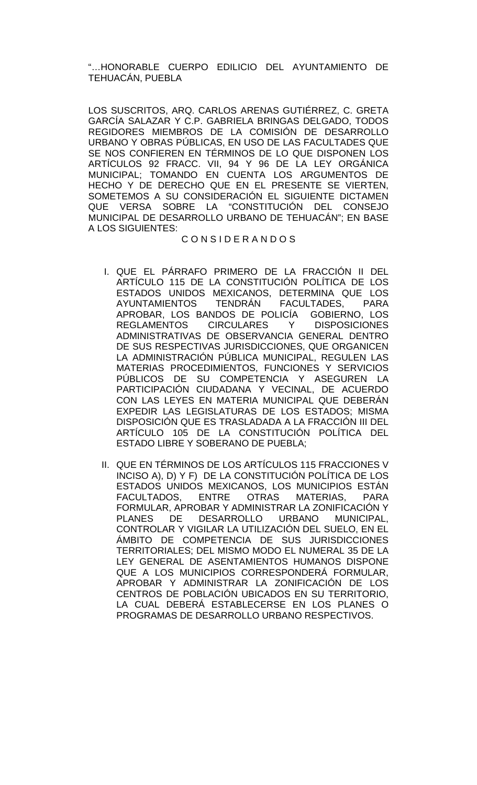"…HONORABLE CUERPO EDILICIO DEL AYUNTAMIENTO DE TEHUACÁN, PUEBLA

LOS SUSCRITOS, ARQ. CARLOS ARENAS GUTIÉRREZ, C. GRETA GARCÍA SALAZAR Y C.P. GABRIELA BRINGAS DELGADO, TODOS REGIDORES MIEMBROS DE LA COMISIÓN DE DESARROLLO URBANO Y OBRAS PÚBLICAS, EN USO DE LAS FACULTADES QUE SE NOS CONFIEREN EN TÉRMINOS DE LO QUE DISPONEN LOS ARTÍCULOS 92 FRACC. VII, 94 Y 96 DE LA LEY ORGÁNICA MUNICIPAL; TOMANDO EN CUENTA LOS ARGUMENTOS DE HECHO Y DE DERECHO QUE EN EL PRESENTE SE VIERTEN, SOMETEMOS A SU CONSIDERACIÓN EL SIGUIENTE DICTAMEN QUE VERSA SOBRE LA "CONSTITUCIÓN DEL CONSEJO MUNICIPAL DE DESARROLLO URBANO DE TEHUACÁN"; EN BASE A LOS SIGUIENTES:

### C O N S I D E R A N D O S

- I. QUE EL PÁRRAFO PRIMERO DE LA FRACCIÓN II DEL ARTÍCULO 115 DE LA CONSTITUCIÓN POLÍTICA DE LOS ESTADOS UNIDOS MEXICANOS, DETERMINA QUE LOS<br>AYUNTAMIENTOS TENDRÁN FACULTADES. PARA AYUNTAMIENTOS TENDRÁN FACULTADES, PARA APROBAR, LOS BANDOS DE POLICÍA GOBIERNO, LOS **REGLAMENTOS** ADMINISTRATIVAS DE OBSERVANCIA GENERAL DENTRO DE SUS RESPECTIVAS JURISDICCIONES, QUE ORGANICEN LA ADMINISTRACIÓN PÚBLICA MUNICIPAL, REGULEN LAS MATERIAS PROCEDIMIENTOS, FUNCIONES Y SERVICIOS PÚBLICOS DE SU COMPETENCIA Y ASEGUREN LA PARTICIPACIÓN CIUDADANA Y VECINAL, DE ACUERDO CON LAS LEYES EN MATERIA MUNICIPAL QUE DEBERÁN EXPEDIR LAS LEGISLATURAS DE LOS ESTADOS; MISMA DISPOSICIÓN QUE ES TRASLADADA A LA FRACCIÓN III DEL ARTÍCULO 105 DE LA CONSTITUCIÓN POLÍTICA DEL ESTADO LIBRE Y SOBERANO DE PUEBLA;
- II. QUE EN TÉRMINOS DE LOS ARTÍCULOS 115 FRACCIONES V INCISO A), D) Y F) DE LA CONSTITUCIÓN POLÍTICA DE LOS ESTADOS UNIDOS MEXICANOS, LOS MUNICIPIOS ESTÁN FACULTADOS, ENTRE OTRAS MATERIAS, PARA FORMULAR, APROBAR Y ADMINISTRAR LA ZONIFICACIÓN Y PLANES DE DESARROLLO URBANO MUNICIPAL, CONTROLAR Y VIGILAR LA UTILIZACIÓN DEL SUELO, EN EL ÁMBITO DE COMPETENCIA DE SUS JURISDICCIONES TERRITORIALES; DEL MISMO MODO EL NUMERAL 35 DE LA LEY GENERAL DE ASENTAMIENTOS HUMANOS DISPONE QUE A LOS MUNICIPIOS CORRESPONDERÁ FORMULAR, APROBAR Y ADMINISTRAR LA ZONIFICACIÓN DE LOS CENTROS DE POBLACIÓN UBICADOS EN SU TERRITORIO, LA CUAL DEBERÁ ESTABLECERSE EN LOS PLANES O PROGRAMAS DE DESARROLLO URBANO RESPECTIVOS.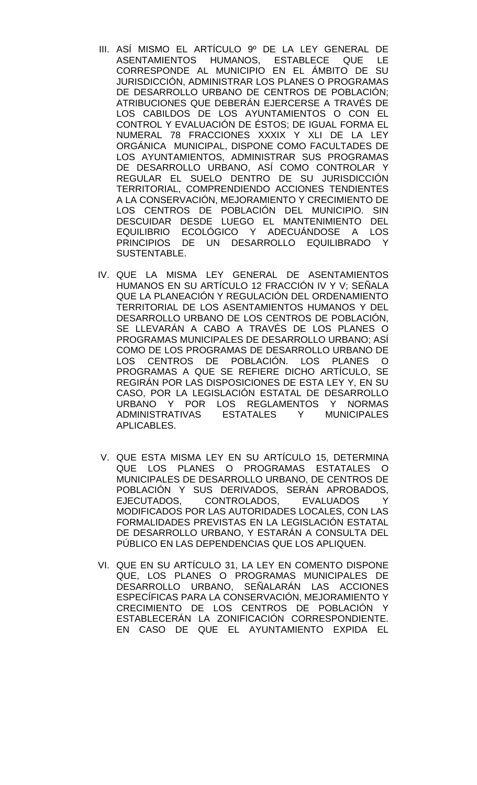- III. ASÍ MISMO EL ARTÍCULO 9º DE LA LEY GENERAL DE ASENTAMIENTOS HUMANOS, ESTABLECE QUE LE CORRESPONDE AL MUNICIPIO EN EL ÁMBITO DE SU JURISDICCIÓN, ADMINISTRAR LOS PLANES O PROGRAMAS DE DESARROLLO URBANO DE CENTROS DE POBLACIÓN; ATRIBUCIONES QUE DEBERÁN EJERCERSE A TRAVÉS DE LOS CABILDOS DE LOS AYUNTAMIENTOS O CON EL CONTROL Y EVALUACIÓN DE ÉSTOS; DE IGUAL FORMA EL NUMERAL 78 FRACCIONES XXXIX Y XLI DE LA LEY ORGÁNICA MUNICIPAL, DISPONE COMO FACULTADES DE LOS AYUNTAMIENTOS, ADMINISTRAR SUS PROGRAMAS DE DESARROLLO URBANO, ASÍ COMO CONTROLAR Y REGULAR EL SUELO DENTRO DE SU JURISDICCIÓN TERRITORIAL, COMPRENDIENDO ACCIONES TENDIENTES A LA CONSERVACIÓN, MEJORAMIENTO Y CRECIMIENTO DE LOS CENTROS DE POBLACIÓN DEL MUNICIPIO. SIN DESCUIDAR DESDE LUEGO EL MANTENIMIENTO DEL EQUILIBRIO ECOLÓGICO Y ADECUÁNDOSE A LOS PRINCIPIOS DE UN DESARROLLO EQUILIBRADO Y SUSTENTABLE.
- IV. QUE LA MISMA LEY GENERAL DE ASENTAMIENTOS HUMANOS EN SU ARTÍCULO 12 FRACCIÓN IV Y V; SEÑALA QUE LA PLANEACIÓN Y REGULACIÓN DEL ORDENAMIENTO TERRITORIAL DE LOS ASENTAMIENTOS HUMANOS Y DEL DESARROLLO URBANO DE LOS CENTROS DE POBLACIÓN, SE LLEVARÁN A CABO A TRAVÉS DE LOS PLANES O PROGRAMAS MUNICIPALES DE DESARROLLO URBANO; ASÍ COMO DE LOS PROGRAMAS DE DESARROLLO URBANO DE LOS CENTROS DE POBLACIÓN. LOS PLANES O PROGRAMAS A QUE SE REFIERE DICHO ARTÍCULO, SE REGIRÁN POR LAS DISPOSICIONES DE ESTA LEY Y, EN SU CASO, POR LA LEGISLACIÓN ESTATAL DE DESARROLLO URBANO Y POR LOS REGLAMENTOS Y NORMAS ADMINISTRATIVAS ESTATALES Y MUNICIPALES APLICABLES.
- V. QUE ESTA MISMA LEY EN SU ARTÍCULO 15, DETERMINA QUE LOS PLANES O PROGRAMAS ESTATALES O MUNICIPALES DE DESARROLLO URBANO, DE CENTROS DE POBLACIÓN Y SUS DERIVADOS, SERÁN APROBADOS, EJECUTADOS, CONTROLADOS, EVALUADOS Y MODIFICADOS POR LAS AUTORIDADES LOCALES, CON LAS FORMALIDADES PREVISTAS EN LA LEGISLACIÓN ESTATAL DE DESARROLLO URBANO, Y ESTARÁN A CONSULTA DEL PÚBLICO EN LAS DEPENDENCIAS QUE LOS APLIQUEN.
- VI. QUE EN SU ARTÍCULO 31, LA LEY EN COMENTO DISPONE QUE, LOS PLANES O PROGRAMAS MUNICIPALES DE DESARROLLO URBANO, SEÑALARÁN LAS ACCIONES ESPECÍFICAS PARA LA CONSERVACIÓN, MEJORAMIENTO Y CRECIMIENTO DE LOS CENTROS DE POBLACIÓN Y ESTABLECERÁN LA ZONIFICACIÓN CORRESPONDIENTE. EN CASO DE QUE EL AYUNTAMIENTO EXPIDA EL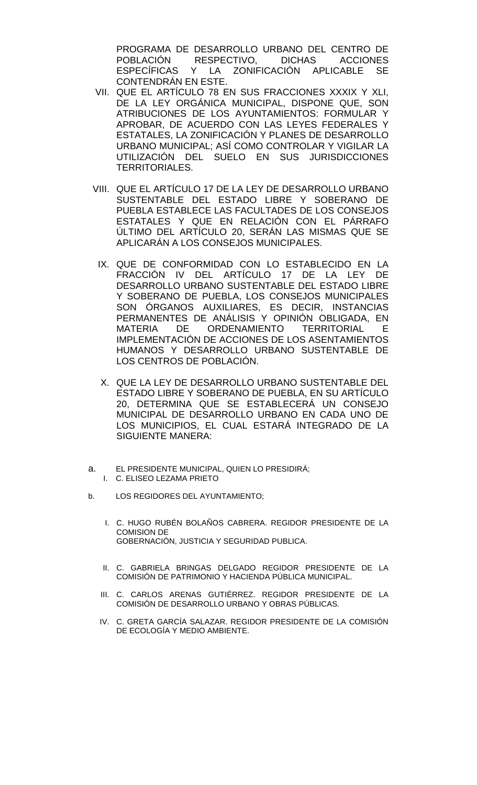PROGRAMA DE DESARROLLO URBANO DEL CENTRO DE<br>POBLACIÓN RESPECTIVO. DICHAS ACCIONES POBLACIÓN RESPECTIVO, DICHAS ACCIONES<br>ESPECÍFICAS Y LA ZONIFICACIÓN APLICABLE SE Y LA ZONIFICACIÓN APLICABLE SE CONTENDRÁN EN ESTE.

- VII. QUE EL ARTÍCULO 78 EN SUS FRACCIONES XXXIX Y XLI, DE LA LEY ORGÁNICA MUNICIPAL, DISPONE QUE, SON ATRIBUCIONES DE LOS AYUNTAMIENTOS: FORMULAR Y APROBAR, DE ACUERDO CON LAS LEYES FEDERALES Y ESTATALES, LA ZONIFICACIÓN Y PLANES DE DESARROLLO URBANO MUNICIPAL; ASÍ COMO CONTROLAR Y VIGILAR LA UTILIZACIÓN DEL SUELO EN SUS JURISDICCIONES TERRITORIALES.
- VIII. QUE EL ARTÍCULO 17 DE LA LEY DE DESARROLLO URBANO SUSTENTABLE DEL ESTADO LIBRE Y SOBERANO DE PUEBLA ESTABLECE LAS FACULTADES DE LOS CONSEJOS ESTATALES Y QUE EN RELACIÓN CON EL PÁRRAFO ÚLTIMO DEL ARTÍCULO 20, SERÁN LAS MISMAS QUE SE APLICARÁN A LOS CONSEJOS MUNICIPALES.
	- IX. QUE DE CONFORMIDAD CON LO ESTABLECIDO EN LA FRACCIÓN IV DEL ARTÍCULO 17 DE LA LEY DE DESARROLLO URBANO SUSTENTABLE DEL ESTADO LIBRE Y SOBERANO DE PUEBLA, LOS CONSEJOS MUNICIPALES SON ÓRGANOS AUXILIARES, ES DECIR, INSTANCIAS PERMANENTES DE ANÁLISIS Y OPINIÓN OBLIGADA, EN<br>MATERIA DE ORDENAMIENTO TERRITORIAL E MATERIA DE ORDENAMIENTO TERRITORIAL E IMPLEMENTACIÓN DE ACCIONES DE LOS ASENTAMIENTOS HUMANOS Y DESARROLLO URBANO SUSTENTABLE DE LOS CENTROS DE POBLACIÓN.
	- X. QUE LA LEY DE DESARROLLO URBANO SUSTENTABLE DEL ESTADO LIBRE Y SOBERANO DE PUEBLA, EN SU ARTÍCULO 20, DETERMINA QUE SE ESTABLECERÁ UN CONSEJO MUNICIPAL DE DESARROLLO URBANO EN CADA UNO DE LOS MUNICIPIOS, EL CUAL ESTARÁ INTEGRADO DE LA SIGUIENTE MANERA:
- a. EL PRESIDENTE MUNICIPAL, QUIEN LO PRESIDIRÁ;
	- I. C. ELISEO LEZAMA PRIETO
- b. LOS REGIDORES DEL AYUNTAMIENTO;
	- I. C. HUGO RUBÉN BOLAÑOS CABRERA. REGIDOR PRESIDENTE DE LA COMISION DE GOBERNACIÓN, JUSTICIA Y SEGURIDAD PUBLICA.
	- II. C. GABRIELA BRINGAS DELGADO REGIDOR PRESIDENTE DE LA COMISIÓN DE PATRIMONIO Y HACIENDA PÚBLICA MUNICIPAL.
	- III. C. CARLOS ARENAS GUTIÉRREZ. REGIDOR PRESIDENTE DE LA COMISIÓN DE DESARROLLO URBANO Y OBRAS PÚBLICAS.
	- IV. C. GRETA GARCÍA SALAZAR. REGIDOR PRESIDENTE DE LA COMISIÓN DE ECOLOGÍA Y MEDIO AMBIENTE.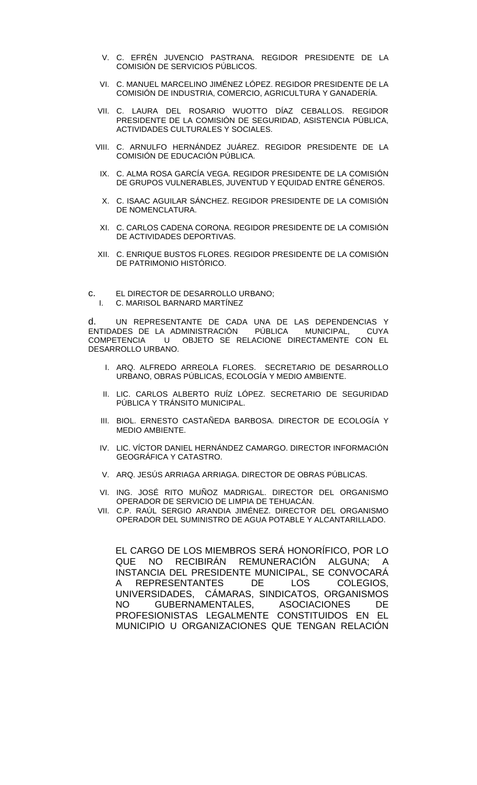- V. C. EFRÉN JUVENCIO PASTRANA. REGIDOR PRESIDENTE DE LA COMISIÓN DE SERVICIOS PÚBLICOS.
- VI. C. MANUEL MARCELINO JIMÉNEZ LÓPEZ. REGIDOR PRESIDENTE DE LA COMISIÓN DE INDUSTRIA, COMERCIO, AGRICULTURA Y GANADERÍA.
- VII. C. LAURA DEL ROSARIO WUOTTO DÍAZ CEBALLOS. REGIDOR PRESIDENTE DE LA COMISIÓN DE SEGURIDAD, ASISTENCIA PÚBLICA, ACTIVIDADES CULTURALES Y SOCIALES.
- VIII. C. ARNULFO HERNÁNDEZ JUÁREZ. REGIDOR PRESIDENTE DE LA COMISIÓN DE EDUCACIÓN PÚBLICA.
- IX. C. ALMA ROSA GARCÍA VEGA. REGIDOR PRESIDENTE DE LA COMISIÓN DE GRUPOS VULNERABLES, JUVENTUD Y EQUIDAD ENTRE GÉNEROS.
- X. C. ISAAC AGUILAR SÁNCHEZ. REGIDOR PRESIDENTE DE LA COMISIÓN DE NOMENCLATURA.
- XI. C. CARLOS CADENA CORONA. REGIDOR PRESIDENTE DE LA COMISIÓN DE ACTIVIDADES DEPORTIVAS.
- XII. C. ENRIQUE BUSTOS FLORES. REGIDOR PRESIDENTE DE LA COMISIÓN DE PATRIMONIO HISTÓRICO.
- c. EL DIRECTOR DE DESARROLLO URBANO; C. MARISOL BARNARD MARTÍNEZ

d. UN REPRESENTANTE DE CADA UNA DE LAS DEPENDENCIAS Y<br>ENTIDADES DE LA ADMINISTRACIÓN PÚBLICA MUNICIPAL, CUYA ENTIDADES DE LA ADMINISTRACIÓN PÚBLICA MUNICIPAL, COMPETENCIA U OBJETO SE RELACIONE DIRECTAMENTE CON EL DESARROLLO URBANO.

- I. ARQ. ALFREDO ARREOLA FLORES. SECRETARIO DE DESARROLLO URBANO, OBRAS PÚBLICAS, ECOLOGÍA Y MEDIO AMBIENTE.
- II. LIC. CARLOS ALBERTO RUÍZ LÓPEZ. SECRETARIO DE SEGURIDAD PÚBLICA Y TRÁNSITO MUNICIPAL.
- III. BIOL. ERNESTO CASTAÑEDA BARBOSA. DIRECTOR DE ECOLOGÍA Y MEDIO AMBIENTE.
- IV. LIC. VÍCTOR DANIEL HERNÁNDEZ CAMARGO. DIRECTOR INFORMACIÓN GEOGRÁFICA Y CATASTRO.
- V. ARQ. JESÚS ARRIAGA ARRIAGA. DIRECTOR DE OBRAS PÚBLICAS.
- VI. ING. JOSÉ RITO MUÑOZ MADRIGAL. DIRECTOR DEL ORGANISMO OPERADOR DE SERVICIO DE LIMPIA DE TEHUACÁN.
- VII. C.P. RAÚL SERGIO ARANDIA JIMÉNEZ. DIRECTOR DEL ORGANISMO OPERADOR DEL SUMINISTRO DE AGUA POTABLE Y ALCANTARILLADO.

EL CARGO DE LOS MIEMBROS SERÁ HONORÍFICO, POR LO QUE NO RECIBIRÁN REMUNERACIÓN ALGUNA; A INSTANCIA DEL PRESIDENTE MUNICIPAL, SE CONVOCARÁ A REPRESENTANTES DE LOS COLEGIOS, UNIVERSIDADES, CÁMARAS, SINDICATOS, ORGANISMOS NO GUBERNAMENTALES, ASOCIACIONES DE PROFESIONISTAS LEGALMENTE CONSTITUIDOS EN EL MUNICIPIO U ORGANIZACIONES QUE TENGAN RELACIÓN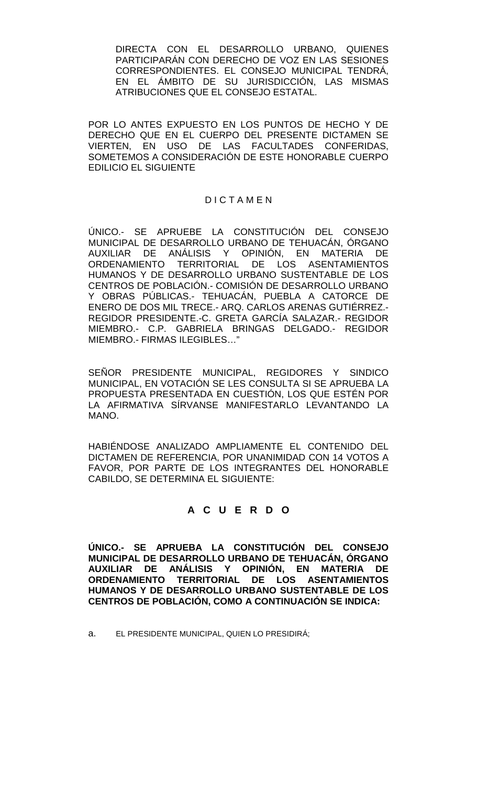DIRECTA CON EL DESARROLLO URBANO, QUIENES PARTICIPARÁN CON DERECHO DE VOZ EN LAS SESIONES CORRESPONDIENTES. EL CONSEJO MUNICIPAL TENDRÁ, EN EL ÁMBITO DE SU JURISDICCIÓN, LAS MISMAS ATRIBUCIONES QUE EL CONSEJO ESTATAL.

POR LO ANTES EXPUESTO EN LOS PUNTOS DE HECHO Y DE DERECHO QUE EN EL CUERPO DEL PRESENTE DICTAMEN SE VIERTEN, EN USO DE LAS FACULTADES CONFERIDAS, SOMETEMOS A CONSIDERACIÓN DE ESTE HONORABLE CUERPO EDILICIO EL SIGUIENTE

## D I C T A M E N

ÚNICO.- SE APRUEBE LA CONSTITUCIÓN DEL CONSEJO MUNICIPAL DE DESARROLLO URBANO DE TEHUACÁN, ÓRGANO AUXILIAR DE ANÁLISIS Y OPINIÓN, EN MATERIA DE ORDENAMIENTO TERRITORIAL DE LOS ASENTAMIENTOS HUMANOS Y DE DESARROLLO URBANO SUSTENTABLE DE LOS CENTROS DE POBLACIÓN.- COMISIÓN DE DESARROLLO URBANO Y OBRAS PÚBLICAS.- TEHUACÁN, PUEBLA A CATORCE DE ENERO DE DOS MIL TRECE.- ARQ. CARLOS ARENAS GUTIÉRREZ.- REGIDOR PRESIDENTE.-C. GRETA GARCÍA SALAZAR.- REGIDOR MIEMBRO.- C.P. GABRIELA BRINGAS DELGADO.- REGIDOR MIEMBRO.- FIRMAS ILEGIBLES…"

SEÑOR PRESIDENTE MUNICIPAL, REGIDORES Y SINDICO MUNICIPAL, EN VOTACIÓN SE LES CONSULTA SI SE APRUEBA LA PROPUESTA PRESENTADA EN CUESTIÓN, LOS QUE ESTÉN POR LA AFIRMATIVA SÍRVANSE MANIFESTARLO LEVANTANDO LA MANO.

HABIÉNDOSE ANALIZADO AMPLIAMENTE EL CONTENIDO DEL DICTAMEN DE REFERENCIA, POR UNANIMIDAD CON 14 VOTOS A FAVOR, POR PARTE DE LOS INTEGRANTES DEL HONORABLE CABILDO, SE DETERMINA EL SIGUIENTE:

## **A C U E R D O**

**ÚNICO.- SE APRUEBA LA CONSTITUCIÓN DEL CONSEJO MUNICIPAL DE DESARROLLO URBANO DE TEHUACÁN, ÓRGANO AUXILIAR DE ANÁLISIS Y OPINIÓN, EN MATERIA DE ORDENAMIENTO TERRITORIAL DE LOS ASENTAMIENTOS HUMANOS Y DE DESARROLLO URBANO SUSTENTABLE DE LOS CENTROS DE POBLACIÓN, COMO A CONTINUACIÓN SE INDICA:**

a. EL PRESIDENTE MUNICIPAL, QUIEN LO PRESIDIRÁ;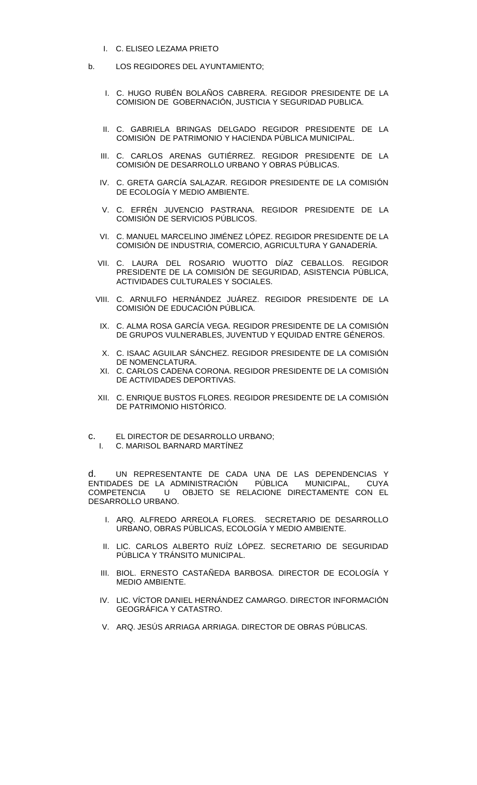- I. C. ELISEO LEZAMA PRIETO
- b. LOS REGIDORES DEL AYUNTAMIENTO;
	- I. C. HUGO RUBÉN BOLAÑOS CABRERA. REGIDOR PRESIDENTE DE LA COMISION DE GOBERNACIÓN, JUSTICIA Y SEGURIDAD PUBLICA.
	- II. C. GABRIELA BRINGAS DELGADO REGIDOR PRESIDENTE DE LA COMISIÓN DE PATRIMONIO Y HACIENDA PÚBLICA MUNICIPAL.
	- III. C. CARLOS ARENAS GUTIÉRREZ. REGIDOR PRESIDENTE DE LA COMISIÓN DE DESARROLLO URBANO Y OBRAS PÚBLICAS.
	- IV. C. GRETA GARCÍA SALAZAR. REGIDOR PRESIDENTE DE LA COMISIÓN DE ECOLOGÍA Y MEDIO AMBIENTE.
	- V. C. EFRÉN JUVENCIO PASTRANA. REGIDOR PRESIDENTE DE LA COMISIÓN DE SERVICIOS PÚBLICOS.
	- VI. C. MANUEL MARCELINO JIMÉNEZ LÓPEZ. REGIDOR PRESIDENTE DE LA COMISIÓN DE INDUSTRIA, COMERCIO, AGRICULTURA Y GANADERÍA.
	- VII. C. LAURA DEL ROSARIO WUOTTO DÍAZ CEBALLOS. REGIDOR PRESIDENTE DE LA COMISIÓN DE SEGURIDAD, ASISTENCIA PÚBLICA, ACTIVIDADES CULTURALES Y SOCIALES.
	- VIII. C. ARNULFO HERNÁNDEZ JUÁREZ. REGIDOR PRESIDENTE DE LA COMISIÓN DE EDUCACIÓN PÚBLICA.
	- IX. C. ALMA ROSA GARCÍA VEGA. REGIDOR PRESIDENTE DE LA COMISIÓN DE GRUPOS VULNERABLES, JUVENTUD Y EQUIDAD ENTRE GÉNEROS.
	- X. C. ISAAC AGUILAR SÁNCHEZ. REGIDOR PRESIDENTE DE LA COMISIÓN DE NOMENCLATURA.
	- XI. C. CARLOS CADENA CORONA. REGIDOR PRESIDENTE DE LA COMISIÓN DE ACTIVIDADES DEPORTIVAS.
	- XII. C. ENRIQUE BUSTOS FLORES. REGIDOR PRESIDENTE DE LA COMISIÓN DE PATRIMONIO HISTÓRICO.
- c. EL DIRECTOR DE DESARROLLO URBANO;
	- I. C. MARISOL BARNARD MARTÍNEZ

d. UN REPRESENTANTE DE CADA UNA DE LAS DEPENDENCIAS Y ENTIDADES DE LA ADMINISTRACIÓN PÚBLICA MUNICIPAL, CUYA COMPETENCIA U OBJETO SE RELACIONE DIRECTAMENTE CON EL DESARROLLO URBANO.

- I. ARQ. ALFREDO ARREOLA FLORES. SECRETARIO DE DESARROLLO URBANO, OBRAS PÚBLICAS, ECOLOGÍA Y MEDIO AMBIENTE.
- II. LIC. CARLOS ALBERTO RUÍZ LÓPEZ. SECRETARIO DE SEGURIDAD PÚBLICA Y TRÁNSITO MUNICIPAL.
- III. BIOL. ERNESTO CASTAÑEDA BARBOSA. DIRECTOR DE ECOLOGÍA Y MEDIO AMBIENTE.
- IV. LIC. VÍCTOR DANIEL HERNÁNDEZ CAMARGO. DIRECTOR INFORMACIÓN GEOGRÁFICA Y CATASTRO.
- V. ARQ. JESÚS ARRIAGA ARRIAGA. DIRECTOR DE OBRAS PÚBLICAS.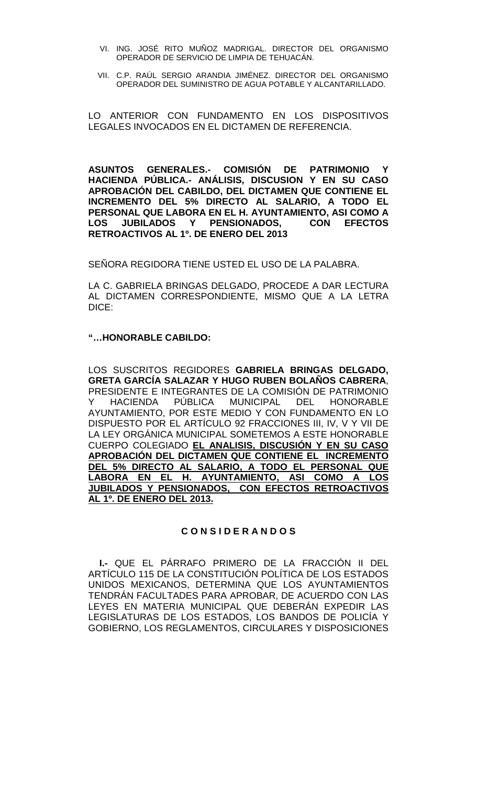- VI. ING. JOSÉ RITO MUÑOZ MADRIGAL. DIRECTOR DEL ORGANISMO OPERADOR DE SERVICIO DE LIMPIA DE TEHUACÁN.
- VII. C.P. RAÚL SERGIO ARANDIA JIMÉNEZ. DIRECTOR DEL ORGANISMO OPERADOR DEL SUMINISTRO DE AGUA POTABLE Y ALCANTARILLADO.

LO ANTERIOR CON FUNDAMENTO EN LOS DISPOSITIVOS LEGALES INVOCADOS EN EL DICTAMEN DE REFERENCIA.

**ASUNTOS GENERALES.- COMISIÓN DE PATRIMONIO Y HACIENDA PÚBLICA.- ANÁLISIS, DISCUSION Y EN SU CASO APROBACIÓN DEL CABILDO, DEL DICTAMEN QUE CONTIENE EL INCREMENTO DEL 5% DIRECTO AL SALARIO, A TODO EL PERSONAL QUE LABORA EN EL H. AYUNTAMIENTO, ASI COMO A**  LOS JUBILADOS Y PENSIONADOS. **RETROACTIVOS AL 1º. DE ENERO DEL 2013**

SEÑORA REGIDORA TIENE USTED EL USO DE LA PALABRA.

LA C. GABRIELA BRINGAS DELGADO, PROCEDE A DAR LECTURA AL DICTAMEN CORRESPONDIENTE, MISMO QUE A LA LETRA DICE:

### **"…HONORABLE CABILDO:**

LOS SUSCRITOS REGIDORES **GABRIELA BRINGAS DELGADO, GRETA GARCÍA SALAZAR Y HUGO RUBEN BOLAÑOS CABRERA**, PRESIDENTE E INTEGRANTES DE LA COMISIÓN DE PATRIMONIO Y HACIENDA PÚBLICA MUNICIPAL DEL HONORABLE AYUNTAMIENTO, POR ESTE MEDIO Y CON FUNDAMENTO EN LO DISPUESTO POR EL ARTÍCULO 92 FRACCIONES III, IV, V Y VII DE LA LEY ORGÁNICA MUNICIPAL SOMETEMOS A ESTE HONORABLE CUERPO COLEGIADO **EL ANALISIS, DISCUSIÓN Y EN SU CASO APROBACIÓN DEL DICTAMEN QUE CONTIENE EL INCREMENTO DEL 5% DIRECTO AL SALARIO, A TODO EL PERSONAL QUE**  LABORA EN EL H. AYUNTAMIENTO, ASI COMO **JUBILADOS Y PENSIONADOS, CON EFECTOS RETROACTIVOS AL 1º. DE ENERO DEL 2013.**

### **C O N S I D E R A N D O S**

**I.-** QUE EL PÁRRAFO PRIMERO DE LA FRACCIÓN II DEL ARTÍCULO 115 DE LA CONSTITUCIÓN POLÍTICA DE LOS ESTADOS UNIDOS MEXICANOS, DETERMINA QUE LOS AYUNTAMIENTOS TENDRÁN FACULTADES PARA APROBAR, DE ACUERDO CON LAS LEYES EN MATERIA MUNICIPAL QUE DEBERÁN EXPEDIR LAS LEGISLATURAS DE LOS ESTADOS, LOS BANDOS DE POLICÍA Y GOBIERNO, LOS REGLAMENTOS, CIRCULARES Y DISPOSICIONES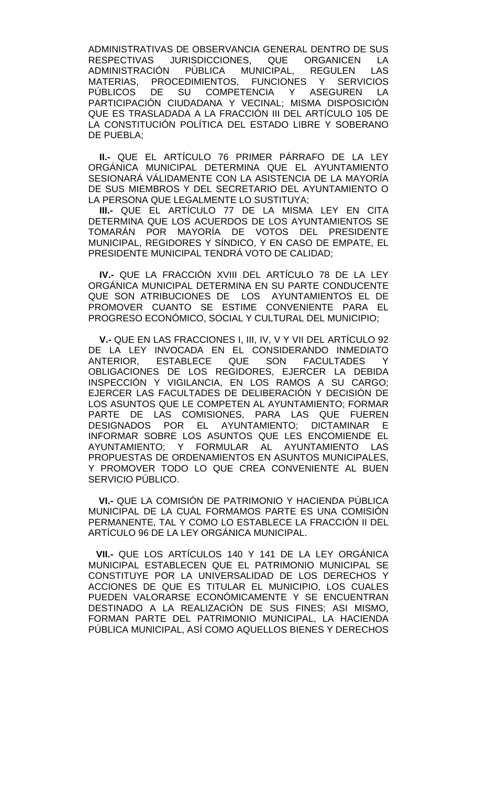ADMINISTRATIVAS DE OBSERVANCIA GENERAL DENTRO DE SUS RESPECTIVAS JURISDICCIONES, QUE ORGANICEN LA<br>ADMINISTRACIÓN PÚBLICA MUNICIPAL, REGULEN LAS PÚBLICA MUNICIPAL, REGULEN LAS MATERIAS, PROCEDIMIENTOS, FUNCIONES Y SERVICIOS<br>PÚBLICOS DE SU COMPETENCIA Y ASEGUREN LA DE SU COMPETENCIA Y ASEGUREN LA PARTICIPACIÓN CIUDADANA Y VECINAL; MISMA DISPOSICIÓN QUE ES TRASLADADA A LA FRACCIÓN III DEL ARTÍCULO 105 DE LA CONSTITUCIÓN POLÍTICA DEL ESTADO LIBRE Y SOBERANO DE PUEBLA;

**II.-** QUE EL ARTÍCULO 76 PRIMER PÁRRAFO DE LA LEY ORGÁNICA MUNICIPAL DETERMINA QUE EL AYUNTAMIENTO SESIONARÁ VÁLIDAMENTE CON LA ASISTENCIA DE LA MAYORÍA DE SUS MIEMBROS Y DEL SECRETARIO DEL AYUNTAMIENTO O LA PERSONA QUE LEGALMENTE LO SUSTITUYA;

**III.-** QUE EL ARTÍCULO 77 DE LA MISMA LEY EN CITA DETERMINA QUE LOS ACUERDOS DE LOS AYUNTAMIENTOS SE TOMARÁN POR MAYORÍA DE VOTOS DEL PRESIDENTE MUNICIPAL, REGIDORES Y SÍNDICO, Y EN CASO DE EMPATE, EL PRESIDENTE MUNICIPAL TENDRÁ VOTO DE CALIDAD;

**IV.-** QUE LA FRACCIÓN XVIII DEL ARTÍCULO 78 DE LA LEY ORGÁNICA MUNICIPAL DETERMINA EN SU PARTE CONDUCENTE QUE SON ATRIBUCIONES DE LOS AYUNTAMIENTOS EL DE PROMOVER CUANTO SE ESTIME CONVENIENTE PARA EL PROGRESO ECONÓMICO, SOCIAL Y CULTURAL DEL MUNICIPIO;

**V.-** QUE EN LAS FRACCIONES I, III, IV, V Y VII DEL ARTÍCULO 92 DE LA LEY INVOCADA EN EL CONSIDERANDO INMEDIATO<br>ANTERIOR, ESTABLECE QUE SON FACULTADES Y FACULTADES Y OBLIGACIONES DE LOS REGIDORES, EJERCER LA DEBIDA INSPECCIÓN Y VIGILANCIA, EN LOS RAMOS A SU CARGO; EJERCER LAS FACULTADES DE DELIBERACIÓN Y DECISIÓN DE LOS ASUNTOS QUE LE COMPETEN AL AYUNTAMIENTO; FORMAR PARTE DE LAS COMISIONES, PARA LAS QUE FUEREN DESIGNADOS POR EL AYUNTAMIENTO; DICTAMINAR E INFORMAR SOBRE LOS ASUNTOS QUE LES ENCOMIENDE EL AYUNTAMIENTO; Y FORMULAR AL AYUNTAMIENTO LAS PROPUESTAS DE ORDENAMIENTOS EN ASUNTOS MUNICIPALES, Y PROMOVER TODO LO QUE CREA CONVENIENTE AL BUEN SERVICIO PÚBLICO.

 **VI.-** QUE LA COMISIÓN DE PATRIMONIO Y HACIENDA PÚBLICA MUNICIPAL DE LA CUAL FORMAMOS PARTE ES UNA COMISIÓN PERMANENTE, TAL Y COMO LO ESTABLECE LA FRACCIÓN II DEL ARTÍCULO 96 DE LA LEY ORGÁNICA MUNICIPAL.

 **VII.-** QUE LOS ARTÍCULOS 140 Y 141 DE LA LEY ORGÁNICA MUNICIPAL ESTABLECEN QUE EL PATRIMONIO MUNICIPAL SE CONSTITUYE POR LA UNIVERSALIDAD DE LOS DERECHOS Y ACCIONES DE QUE ES TITULAR EL MUNICIPIO, LOS CUALES PUEDEN VALORARSE ECONÓMICAMENTE Y SE ENCUENTRAN DESTINADO A LA REALIZACIÓN DE SUS FINES; ASI MISMO, FORMAN PARTE DEL PATRIMONIO MUNICIPAL, LA HACIENDA PÚBLICA MUNICIPAL, ASÍ COMO AQUELLOS BIENES Y DERECHOS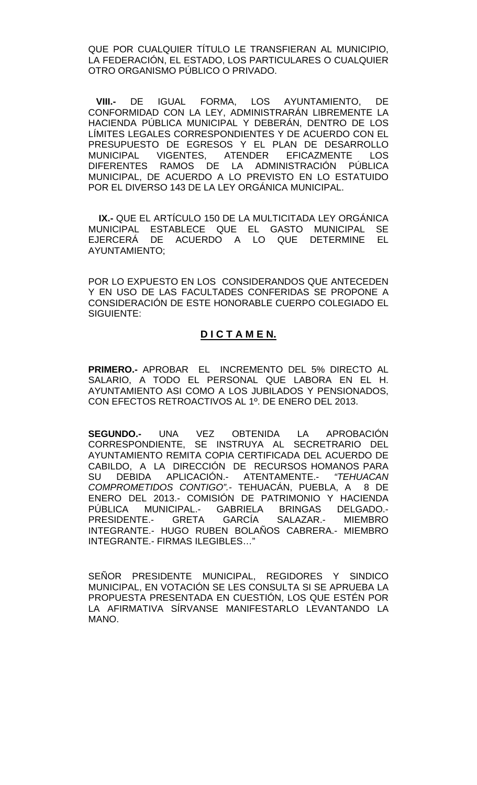QUE POR CUALQUIER TÍTULO LE TRANSFIERAN AL MUNICIPIO, LA FEDERACIÓN, EL ESTADO, LOS PARTICULARES O CUALQUIER OTRO ORGANISMO PÚBLICO O PRIVADO.

 **VIII.-** DE IGUAL FORMA, LOS AYUNTAMIENTO, DE CONFORMIDAD CON LA LEY, ADMINISTRARÁN LIBREMENTE LA HACIENDA PÚBLICA MUNICIPAL Y DEBERÁN, DENTRO DE LOS LÍMITES LEGALES CORRESPONDIENTES Y DE ACUERDO CON EL PRESUPUESTO DE EGRESOS Y EL PLAN DE DESARROLLO MUNICIPAL VIGENTES, ATENDER EFICAZMENTE LOS DIFERENTES RAMOS DE LA ADMINISTRACIÓN PÚBLICA MUNICIPAL, DE ACUERDO A LO PREVISTO EN LO ESTATUIDO POR EL DIVERSO 143 DE LA LEY ORGÁNICA MUNICIPAL.

 **IX.-** QUE EL ARTÍCULO 150 DE LA MULTICITADA LEY ORGÁNICA MUNICIPAL ESTABLECE QUE EL GASTO MUNICIPAL SE EJERCERÁ DE ACUERDO A LO QUE DETERMINE EL AYUNTAMIENTO;

POR LO EXPUESTO EN LOS CONSIDERANDOS QUE ANTECEDEN Y EN USO DE LAS FACULTADES CONFERIDAS SE PROPONE A CONSIDERACIÓN DE ESTE HONORABLE CUERPO COLEGIADO EL SIGUIENTE:

# **D I C T A M E N.**

**PRIMERO.-** APROBAR EL INCREMENTO DEL 5% DIRECTO AL SALARIO, A TODO EL PERSONAL QUE LABORA EN EL H. AYUNTAMIENTO ASI COMO A LOS JUBILADOS Y PENSIONADOS, CON EFECTOS RETROACTIVOS AL 1º. DE ENERO DEL 2013.

**SEGUNDO.-** UNA VEZ OBTENIDA LA APROBACIÓN CORRESPONDIENTE, SE INSTRUYA AL SECRETRARIO DEL AYUNTAMIENTO REMITA COPIA CERTIFICADA DEL ACUERDO DE CABILDO, A LA DIRECCIÓN DE RECURSOS HOMANOS PARA SU DEBIDA APLICACIÓN.- ATENTAMENTE.- *"TEHUACAN COMPROMETIDOS CONTIGO".-* TEHUACÁN, PUEBLA, A 8 DE ENERO DEL 2013.- COMISIÓN DE PATRIMONIO Y HACIENDA PÚBLICA MUNICIPAL.- GABRIELA BRINGAS DELGADO.- PRESIDENTE.- GRETA GARCÍA SALAZAR.- MIEMBRO INTEGRANTE.- HUGO RUBEN BOLAÑOS CABRERA.- MIEMBRO INTEGRANTE.- FIRMAS ILEGIBLES…"

SEÑOR PRESIDENTE MUNICIPAL, REGIDORES Y SINDICO MUNICIPAL, EN VOTACIÓN SE LES CONSULTA SI SE APRUEBA LA PROPUESTA PRESENTADA EN CUESTIÓN, LOS QUE ESTÉN POR LA AFIRMATIVA SÍRVANSE MANIFESTARLO LEVANTANDO LA MANO.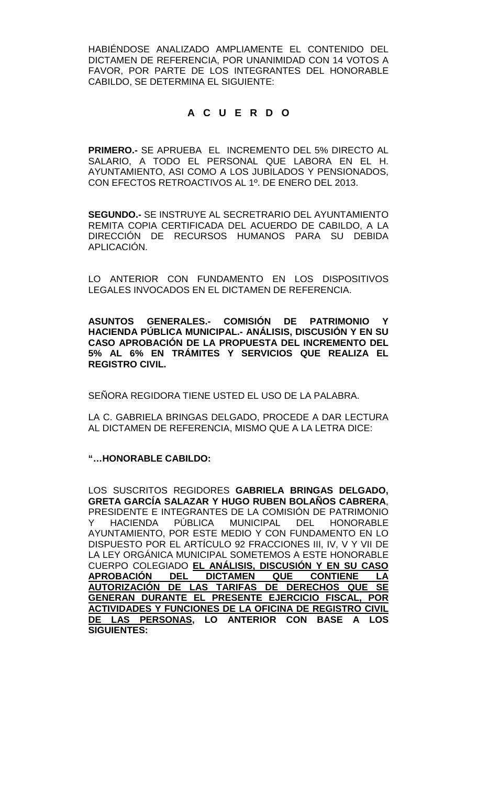HABIÉNDOSE ANALIZADO AMPLIAMENTE EL CONTENIDO DEL DICTAMEN DE REFERENCIA, POR UNANIMIDAD CON 14 VOTOS A FAVOR, POR PARTE DE LOS INTEGRANTES DEL HONORABLE CABILDO, SE DETERMINA EL SIGUIENTE:

# **A C U E R D O**

**PRIMERO.-** SE APRUEBA EL INCREMENTO DEL 5% DIRECTO AL SALARIO, A TODO EL PERSONAL QUE LABORA EN EL H. AYUNTAMIENTO, ASI COMO A LOS JUBILADOS Y PENSIONADOS, CON EFECTOS RETROACTIVOS AL 1º. DE ENERO DEL 2013.

**SEGUNDO.-** SE INSTRUYE AL SECRETRARIO DEL AYUNTAMIENTO REMITA COPIA CERTIFICADA DEL ACUERDO DE CABILDO, A LA DIRECCIÓN DE RECURSOS HUMANOS PARA SU DEBIDA APLICACIÓN.

LO ANTERIOR CON FUNDAMENTO EN LOS DISPOSITIVOS LEGALES INVOCADOS EN EL DICTAMEN DE REFERENCIA.

**ASUNTOS GENERALES.- COMISIÓN DE PATRIMONIO Y HACIENDA PÚBLICA MUNICIPAL.- ANÁLISIS, DISCUSIÓN Y EN SU CASO APROBACIÓN DE LA PROPUESTA DEL INCREMENTO DEL 5% AL 6% EN TRÁMITES Y SERVICIOS QUE REALIZA EL REGISTRO CIVIL.**

SEÑORA REGIDORA TIENE USTED EL USO DE LA PALABRA.

LA C. GABRIELA BRINGAS DELGADO, PROCEDE A DAR LECTURA AL DICTAMEN DE REFERENCIA, MISMO QUE A LA LETRA DICE:

## **"…HONORABLE CABILDO:**

LOS SUSCRITOS REGIDORES **GABRIELA BRINGAS DELGADO, GRETA GARCÍA SALAZAR Y HUGO RUBEN BOLAÑOS CABRERA**, PRESIDENTE E INTEGRANTES DE LA COMISIÓN DE PATRIMONIO<br>Y HACIENDA PÚBLICA MUNICIPAL DEL HONORABLE Y HACIENDA PÚBLICA MUNICIPAL DEL HONORABLE AYUNTAMIENTO, POR ESTE MEDIO Y CON FUNDAMENTO EN LO DISPUESTO POR EL ARTÍCULO 92 FRACCIONES III, IV, V Y VII DE LA LEY ORGÁNICA MUNICIPAL SOMETEMOS A ESTE HONORABLE CUERPO COLEGIADO **EL ANÁLISIS, DISCUSIÓN Y EN SU CASO APROBACIÓN AUTORIZACIÓN DE LAS TARIFAS DE DERECHOS QUE SE GENERAN DURANTE EL PRESENTE EJERCICIO FISCAL, POR ACTIVIDADES Y FUNCIONES DE LA OFICINA DE REGISTRO CIVIL DE LAS PERSONAS, LO ANTERIOR CON BASE A LOS SIGUIENTES:**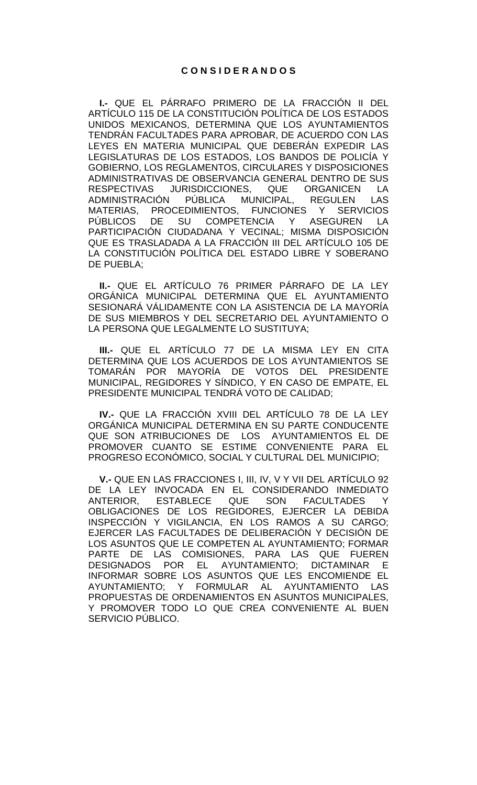**I.-** QUE EL PÁRRAFO PRIMERO DE LA FRACCIÓN II DEL ARTÍCULO 115 DE LA CONSTITUCIÓN POLÍTICA DE LOS ESTADOS UNIDOS MEXICANOS, DETERMINA QUE LOS AYUNTAMIENTOS TENDRÁN FACULTADES PARA APROBAR, DE ACUERDO CON LAS LEYES EN MATERIA MUNICIPAL QUE DEBERÁN EXPEDIR LAS LEGISLATURAS DE LOS ESTADOS, LOS BANDOS DE POLICÍA Y GOBIERNO, LOS REGLAMENTOS, CIRCULARES Y DISPOSICIONES ADMINISTRATIVAS DE OBSERVANCIA GENERAL DENTRO DE SUS<br>RESPECTIVAS JURISDICCIONES. QUE ORGANICEN LA RESPECTIVAS JURISDICCIONES, QUE ORGANICEN LA<br>ADMINISTRACIÓN PÚBLICA MUNICIPAL, REGULEN LAS ADMINISTRACIÓN PÚBLICA MUNICIPAL, REGULEN LAS<br>MATERIAS. PROCEDIMIENTOS. FUNCIONES Y SERVICIOS MATERIAS, PROCEDIMIENTOS, FUNCIONES Y SERVI<br>PÚBLICOS DE SU COMPETENCIA Y ASEGUREN PÚBLICOS DE SU COMPETENCIA Y ASEGUREN LA PARTICIPACIÓN CIUDADANA Y VECINAL; MISMA DISPOSICIÓN QUE ES TRASLADADA A LA FRACCIÓN III DEL ARTÍCULO 105 DE LA CONSTITUCIÓN POLÍTICA DEL ESTADO LIBRE Y SOBERANO DE PUEBLA;

**II.-** QUE EL ARTÍCULO 76 PRIMER PÁRRAFO DE LA LEY ORGÁNICA MUNICIPAL DETERMINA QUE EL AYUNTAMIENTO SESIONARÁ VÁLIDAMENTE CON LA ASISTENCIA DE LA MAYORÍA DE SUS MIEMBROS Y DEL SECRETARIO DEL AYUNTAMIENTO O LA PERSONA QUE LEGALMENTE LO SUSTITUYA;

**III.-** QUE EL ARTÍCULO 77 DE LA MISMA LEY EN CITA DETERMINA QUE LOS ACUERDOS DE LOS AYUNTAMIENTOS SE TOMARÁN POR MAYORÍA DE VOTOS DEL PRESIDENTE MUNICIPAL, REGIDORES Y SÍNDICO, Y EN CASO DE EMPATE, EL PRESIDENTE MUNICIPAL TENDRÁ VOTO DE CALIDAD;

**IV.-** QUE LA FRACCIÓN XVIII DEL ARTÍCULO 78 DE LA LEY ORGÁNICA MUNICIPAL DETERMINA EN SU PARTE CONDUCENTE QUE SON ATRIBUCIONES DE LOS AYUNTAMIENTOS EL DE PROMOVER CUANTO SE ESTIME CONVENIENTE PARA EL PROGRESO ECONÓMICO, SOCIAL Y CULTURAL DEL MUNICIPIO;

**V.-** QUE EN LAS FRACCIONES I, III, IV, V Y VII DEL ARTÍCULO 92 DE LA LEY INVOCADA EN EL CONSIDERANDO INMEDIATO<br>ANTERIOR, ESTABLECE QUE SON FACULTADES Y ANTERIOR, ESTABLECE QUE SON FACULTADES Y OBLIGACIONES DE LOS REGIDORES, EJERCER LA DEBIDA INSPECCIÓN Y VIGILANCIA, EN LOS RAMOS A SU CARGO; EJERCER LAS FACULTADES DE DELIBERACIÓN Y DECISIÓN DE LOS ASUNTOS QUE LE COMPETEN AL AYUNTAMIENTO; FORMAR PARTE DE LAS COMISIONES, PARA LAS QUE FUEREN DESIGNADOS POR EL AYUNTAMIENTO; DICTAMINAR E INFORMAR SOBRE LOS ASUNTOS QUE LES ENCOMIENDE EL AYUNTAMIENTO; Y FORMULAR AL AYUNTAMIENTO LAS PROPUESTAS DE ORDENAMIENTOS EN ASUNTOS MUNICIPALES, Y PROMOVER TODO LO QUE CREA CONVENIENTE AL BUEN SERVICIO PÚBLICO.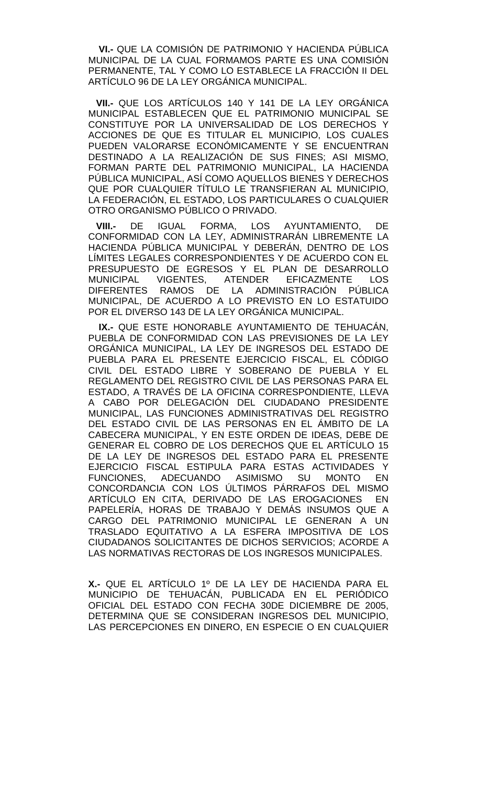**VI.-** QUE LA COMISIÓN DE PATRIMONIO Y HACIENDA PÚBLICA MUNICIPAL DE LA CUAL FORMAMOS PARTE ES UNA COMISIÓN PERMANENTE, TAL Y COMO LO ESTABLECE LA FRACCIÓN II DEL ARTÍCULO 96 DE LA LEY ORGÁNICA MUNICIPAL.

 **VII.-** QUE LOS ARTÍCULOS 140 Y 141 DE LA LEY ORGÁNICA MUNICIPAL ESTABLECEN QUE EL PATRIMONIO MUNICIPAL SE CONSTITUYE POR LA UNIVERSALIDAD DE LOS DERECHOS Y ACCIONES DE QUE ES TITULAR EL MUNICIPIO, LOS CUALES PUEDEN VALORARSE ECONÓMICAMENTE Y SE ENCUENTRAN DESTINADO A LA REALIZACIÓN DE SUS FINES; ASI MISMO, FORMAN PARTE DEL PATRIMONIO MUNICIPAL, LA HACIENDA PÚBLICA MUNICIPAL, ASÍ COMO AQUELLOS BIENES Y DERECHOS QUE POR CUALQUIER TÍTULO LE TRANSFIERAN AL MUNICIPIO, LA FEDERACIÓN, EL ESTADO, LOS PARTICULARES O CUALQUIER OTRO ORGANISMO PÚBLICO O PRIVADO.

 **VIII.-** DE IGUAL FORMA, LOS AYUNTAMIENTO, DE CONFORMIDAD CON LA LEY, ADMINISTRARÁN LIBREMENTE LA HACIENDA PÚBLICA MUNICIPAL Y DEBERÁN, DENTRO DE LOS LÍMITES LEGALES CORRESPONDIENTES Y DE ACUERDO CON EL PRESUPUESTO DE EGRESOS Y EL PLAN DE DESARROLLO<br>MUNICIPAL VIGENTES, ATENDER EFICAZMENTE LOS VIGENTES, ATENDER EFICAZMENTE LOS DIFERENTES RAMOS DE LA ADMINISTRACIÓN PÚBLICA MUNICIPAL, DE ACUERDO A LO PREVISTO EN LO ESTATUIDO POR EL DIVERSO 143 DE LA LEY ORGÁNICA MUNICIPAL.

 **IX.-** QUE ESTE HONORABLE AYUNTAMIENTO DE TEHUACÁN, PUEBLA DE CONFORMIDAD CON LAS PREVISIONES DE LA LEY ORGÁNICA MUNICIPAL, LA LEY DE INGRESOS DEL ESTADO DE PUEBLA PARA EL PRESENTE EJERCICIO FISCAL, EL CÓDIGO CIVIL DEL ESTADO LIBRE Y SOBERANO DE PUEBLA Y EL REGLAMENTO DEL REGISTRO CIVIL DE LAS PERSONAS PARA EL ESTADO, A TRAVÉS DE LA OFICINA CORRESPONDIENTE, LLEVA A CABO POR DELEGACIÓN DEL CIUDADANO PRESIDENTE MUNICIPAL, LAS FUNCIONES ADMINISTRATIVAS DEL REGISTRO DEL ESTADO CIVIL DE LAS PERSONAS EN EL ÁMBITO DE LA CABECERA MUNICIPAL, Y EN ESTE ORDEN DE IDEAS, DEBE DE GENERAR EL COBRO DE LOS DERECHOS QUE EL ARTÍCULO 15 DE LA LEY DE INGRESOS DEL ESTADO PARA EL PRESENTE EJERCICIO FISCAL ESTIPULA PARA ESTAS ACTIVIDADES Y<br>FUNCIONES, ADECUANDO ASIMISMO SU MONTO EN FUNCIONES, ADECUANDO ASIMISMO SU MONTO EN CONCORDANCIA CON LOS ÚLTIMOS PÁRRAFOS DEL MISMO ARTÍCULO EN CITA, DERIVADO DE LAS EROGACIONES EN PAPELERÍA, HORAS DE TRABAJO Y DEMÁS INSUMOS QUE A CARGO DEL PATRIMONIO MUNICIPAL LE GENERAN A UN TRASLADO EQUITATIVO A LA ESFERA IMPOSITIVA DE LOS CIUDADANOS SOLICITANTES DE DICHOS SERVICIOS; ACORDE A LAS NORMATIVAS RECTORAS DE LOS INGRESOS MUNICIPALES.

**X.-** QUE EL ARTÍCULO 1º DE LA LEY DE HACIENDA PARA EL MUNICIPIO DE TEHUACÁN, PUBLICADA EN EL PERIÓDICO OFICIAL DEL ESTADO CON FECHA 30DE DICIEMBRE DE 2005, DETERMINA QUE SE CONSIDERAN INGRESOS DEL MUNICIPIO, LAS PERCEPCIONES EN DINERO, EN ESPECIE O EN CUALQUIER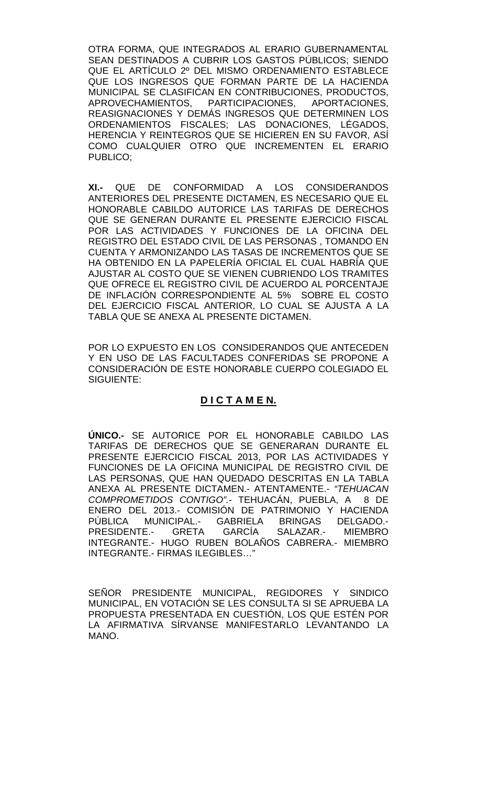OTRA FORMA, QUE INTEGRADOS AL ERARIO GUBERNAMENTAL SEAN DESTINADOS A CUBRIR LOS GASTOS PÚBLICOS; SIENDO QUE EL ARTÍCULO 2º DEL MISMO ORDENAMIENTO ESTABLECE QUE LOS INGRESOS QUE FORMAN PARTE DE LA HACIENDA MUNICIPAL SE CLASIFICAN EN CONTRIBUCIONES, PRODUCTOS, APROVECHAMIENTOS, PARTICIPACIONES, APORTACIONES, REASIGNACIONES Y DEMÁS INGRESOS QUE DETERMINEN LOS ORDENAMIENTOS FISCALES; LAS DONACIONES, LÉGADOS, HERENCIA Y REINTEGROS QUE SE HICIEREN EN SU FAVOR, ASÍ COMO CUALQUIER OTRO QUE INCREMENTEN EL ERARIO PUBLICO;

**XI.-** QUE DE CONFORMIDAD A LOS CONSIDERANDOS ANTERIORES DEL PRESENTE DICTAMEN, ES NECESARIO QUE EL HONORABLE CABILDO AUTORICE LAS TARIFAS DE DERECHOS QUE SE GENERAN DURANTE EL PRESENTE EJERCICIO FISCAL POR LAS ACTIVIDADES Y FUNCIONES DE LA OFICINA DEL REGISTRO DEL ESTADO CIVIL DE LAS PERSONAS , TOMANDO EN CUENTA Y ARMONIZANDO LAS TASAS DE INCREMENTOS QUE SE HA OBTENIDO EN LA PAPELERÍA OFICIAL EL CUAL HABRÍA QUE AJUSTAR AL COSTO QUE SE VIENEN CUBRIENDO LOS TRAMITES QUE OFRECE EL REGISTRO CIVIL DE ACUERDO AL PORCENTAJE DE INFLACIÓN CORRESPONDIENTE AL 5% SOBRE EL COSTO DEL EJERCICIO FISCAL ANTERIOR, LO CUAL SE AJUSTA A LA TABLA QUE SE ANEXA AL PRESENTE DICTAMEN.

POR LO EXPUESTO EN LOS CONSIDERANDOS QUE ANTECEDEN Y EN USO DE LAS FACULTADES CONFERIDAS SE PROPONE A CONSIDERACIÓN DE ESTE HONORABLE CUERPO COLEGIADO EL SIGUIENTE:

## **D I C T A M E N.**

**ÚNICO.-** SE AUTORICE POR EL HONORABLE CABILDO LAS TARIFAS DE DERECHOS QUE SE GENERARAN DURANTE EL PRESENTE EJERCICIO FISCAL 2013, POR LAS ACTIVIDADES Y FUNCIONES DE LA OFICINA MUNICIPAL DE REGISTRO CIVIL DE LAS PERSONAS, QUE HAN QUEDADO DESCRITAS EN LA TABLA ANEXA AL PRESENTE DICTAMEN.- ATENTAMENTE.- *"TEHUACAN COMPROMETIDOS CONTIGO".-* TEHUACÁN, PUEBLA, A 8 DE ENERO DEL 2013.- COMISIÓN DE PATRIMONIO Y HACIENDA PÚBLICA MUNICIPAL.- GABRIELA BRINGAS DELGADO.-<br>PRESIDENTE.- GRETA GARCÍA SALAZAR.- MIEMBRO PRESIDENTE.-INTEGRANTE.- HUGO RUBEN BOLAÑOS CABRERA.- MIEMBRO INTEGRANTE.- FIRMAS ILEGIBLES…"

SEÑOR PRESIDENTE MUNICIPAL, REGIDORES Y SINDICO MUNICIPAL, EN VOTACIÓN SE LES CONSULTA SI SE APRUEBA LA PROPUESTA PRESENTADA EN CUESTIÓN, LOS QUE ESTÉN POR LA AFIRMATIVA SÍRVANSE MANIFESTARLO LEVANTANDO LA MANO.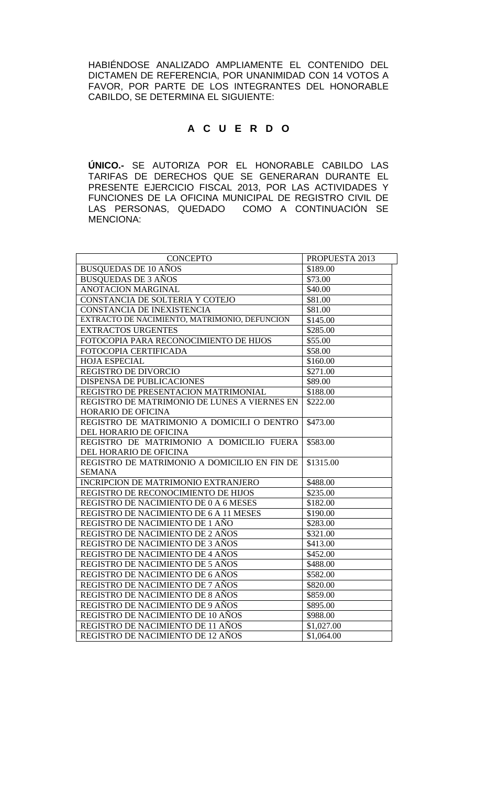HABIÉNDOSE ANALIZADO AMPLIAMENTE EL CONTENIDO DEL DICTAMEN DE REFERENCIA, POR UNANIMIDAD CON 14 VOTOS A FAVOR, POR PARTE DE LOS INTEGRANTES DEL HONORABLE CABILDO, SE DETERMINA EL SIGUIENTE:

# **A C U E R D O**

**ÚNICO.-** SE AUTORIZA POR EL HONORABLE CABILDO LAS TARIFAS DE DERECHOS QUE SE GENERARAN DURANTE EL PRESENTE EJERCICIO FISCAL 2013, POR LAS ACTIVIDADES Y FUNCIONES DE LA OFICINA MUNICIPAL DE REGISTRO CIVIL DE LAS PERSONAS, QUEDADO COMO A CONTINUACIÓN SE MENCIONA:

| <b>CONCEPTO</b>                               | PROPUESTA 2013 |
|-----------------------------------------------|----------------|
| <b>BUSQUEDAS DE 10 AÑOS</b>                   | \$189.00       |
| <b>BUSQUEDAS DE 3 AÑOS</b>                    | \$73.00        |
| <b>ANOTACION MARGINAL</b>                     | \$40.00        |
| CONSTANCIA DE SOLTERIA Y COTEJO               | \$81.00        |
| CONSTANCIA DE INEXISTENCIA                    | \$81.00        |
| EXTRACTO DE NACIMIENTO, MATRIMONIO, DEFUNCION | \$145.00       |
| <b>EXTRACTOS URGENTES</b>                     | \$285.00       |
| FOTOCOPIA PARA RECONOCIMIENTO DE HIJOS        | \$55.00        |
| FOTOCOPIA CERTIFICADA                         | \$58.00        |
| <b>HOJA ESPECIAL</b>                          | \$160.00       |
| REGISTRO DE DIVORCIO                          | \$271.00       |
| <b>DISPENSA DE PUBLICACIONES</b>              | \$89.00        |
| REGISTRO DE PRESENTACION MATRIMONIAL          | \$188.00       |
| REGISTRO DE MATRIMONIO DE LUNES A VIERNES EN  | \$222.00       |
| HORARIO DE OFICINA                            |                |
| REGISTRO DE MATRIMONIO A DOMICILI O DENTRO    | \$473.00       |
| DEL HORARIO DE OFICINA                        |                |
| REGISTRO DE MATRIMONIO A DOMICILIO FUERA      | \$583.00       |
| DEL HORARIO DE OFICINA                        |                |
| REGISTRO DE MATRIMONIO A DOMICILIO EN FIN DE  | \$1315.00      |
| <b>SEMANA</b>                                 |                |
| INCRIPCION DE MATRIMONIO EXTRANJERO           | \$488.00       |
| REGISTRO DE RECONOCIMIENTO DE HIJOS           | \$235.00       |
| REGISTRO DE NACIMIENTO DE 0 A 6 MESES         | \$182.00       |
| REGISTRO DE NACIMIENTO DE 6 A 11 MESES        | \$190.00       |
| REGISTRO DE NACIMIENTO DE 1 AÑO               | \$283.00       |
| REGISTRO DE NACIMIENTO DE 2 AÑOS              | \$321.00       |
| REGISTRO DE NACIMIENTO DE 3 AÑOS              | \$413.00       |
| REGISTRO DE NACIMIENTO DE 4 AÑOS              | \$452.00       |
| REGISTRO DE NACIMIENTO DE 5 AÑOS              | \$488.00       |
| REGISTRO DE NACIMIENTO DE 6 AÑOS              | \$582.00       |
| REGISTRO DE NACIMIENTO DE 7 AÑOS              | \$820.00       |
| REGISTRO DE NACIMIENTO DE 8 AÑOS              | \$859.00       |
| REGISTRO DE NACIMIENTO DE 9 AÑOS              | \$895.00       |
| REGISTRO DE NACIMIENTO DE 10 AÑOS             | \$988.00       |
| REGISTRO DE NACIMIENTO DE 11 AÑOS             | \$1,027.00     |
| REGISTRO DE NACIMIENTO DE 12 AÑOS             | \$1,064.00     |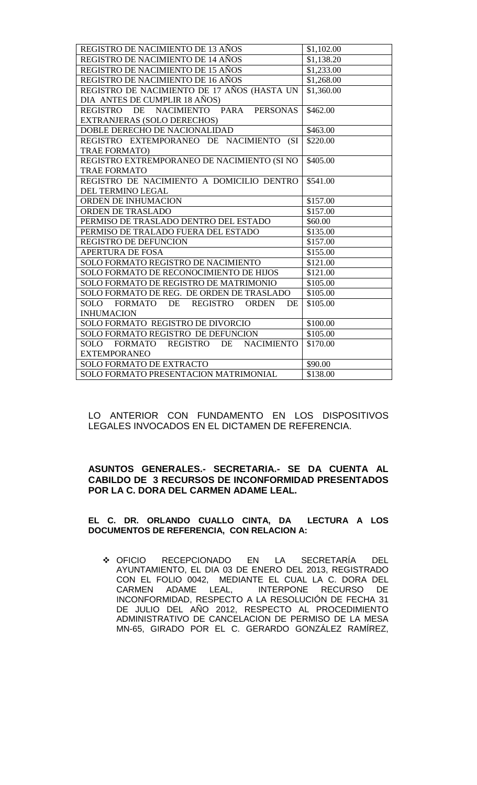| REGISTRO DE NACIMIENTO DE 13 AÑOS              | \$1,102.00 |
|------------------------------------------------|------------|
| REGISTRO DE NACIMIENTO DE 14 AÑOS              | \$1,138.20 |
| REGISTRO DE NACIMIENTO DE 15 AÑOS              | \$1,233.00 |
| REGISTRO DE NACIMIENTO DE 16 AÑOS              | \$1,268.00 |
| REGISTRO DE NACIMIENTO DE 17 AÑOS (HASTA UN    | \$1,360.00 |
| DIA ANTES DE CUMPLIR 18 AÑOS)                  |            |
| REGISTRO DE NACIMIENTO PARA PERSONAS           | \$462.00   |
| EXTRANJERAS (SOLO DERECHOS)                    |            |
| DOBLE DERECHO DE NACIONALIDAD                  | \$463.00   |
| REGISTRO EXTEMPORANEO DE NACIMIENTO (SI        | \$220.00   |
| <b>TRAE FORMATO)</b>                           |            |
| REGISTRO EXTREMPORANEO DE NACIMIENTO (SI NO    | \$405.00   |
| <b>TRAE FORMATO</b>                            |            |
| REGISTRO DE NACIMIENTO A DOMICILIO DENTRO      | \$541.00   |
| DEL TERMINO LEGAL                              |            |
| ORDEN DE INHUMACION                            | \$157.00   |
| ORDEN DE TRASLADO                              | \$157.00   |
| PERMISO DE TRASLADO DENTRO DEL ESTADO          | \$60.00    |
| PERMISO DE TRALADO FUERA DEL ESTADO            | \$135.00   |
| <b>REGISTRO DE DEFUNCION</b>                   | \$157.00   |
| <b>APERTURA DE FOSA</b>                        | \$155.00   |
| SOLO FORMATO REGISTRO DE NACIMIENTO            | \$121.00   |
| SOLO FORMATO DE RECONOCIMIENTO DE HIJOS        | \$121.00   |
| SOLO FORMATO DE REGISTRO DE MATRIMONIO         | \$105.00   |
| SOLO FORMATO DE REG. DE ORDEN DE TRASLADO      | \$105.00   |
| SOLO FORMATO DE REGISTRO<br><b>ORDEN</b><br>DE | \$105.00   |
| <b>INHUMACION</b>                              |            |
| SOLO FORMATO REGISTRO DE DIVORCIO              | \$100.00   |
| SOLO FORMATO REGISTRO DE DEFUNCION             | \$105.00   |
| SOLO FORMATO REGISTRO DE NACIMIENTO            | \$170.00   |
| <b>EXTEMPORANEO</b>                            |            |
| <b>SOLO FORMATO DE EXTRACTO</b>                | \$90.00    |
| SOLO FORMATO PRESENTACION MATRIMONIAL          | \$138.00   |

LO ANTERIOR CON FUNDAMENTO EN LOS DISPOSITIVOS LEGALES INVOCADOS EN EL DICTAMEN DE REFERENCIA.

### **ASUNTOS GENERALES.- SECRETARIA.- SE DA CUENTA AL CABILDO DE 3 RECURSOS DE INCONFORMIDAD PRESENTADOS POR LA C. DORA DEL CARMEN ADAME LEAL.**

### **EL C. DR. ORLANDO CUALLO CINTA, DA LECTURA A LOS DOCUMENTOS DE REFERENCIA, CON RELACION A:**

 OFICIO RECEPCIONADO EN LA SECRETARÍA DEL AYUNTAMIENTO, EL DIA 03 DE ENERO DEL 2013, REGISTRADO CON EL FOLIO 0042, MEDIANTE EL CUAL LA C. DORA DEL CARMEN ADAME LEAL, INTERPONE RECURSO INCONFORMIDAD, RESPECTO A LA RESOLUCIÓN DE FECHA 31 DE JULIO DEL AÑO 2012, RESPECTO AL PROCEDIMIENTO ADMINISTRATIVO DE CANCELACION DE PERMISO DE LA MESA MN-65, GIRADO POR EL C. GERARDO GONZÁLEZ RAMÍREZ,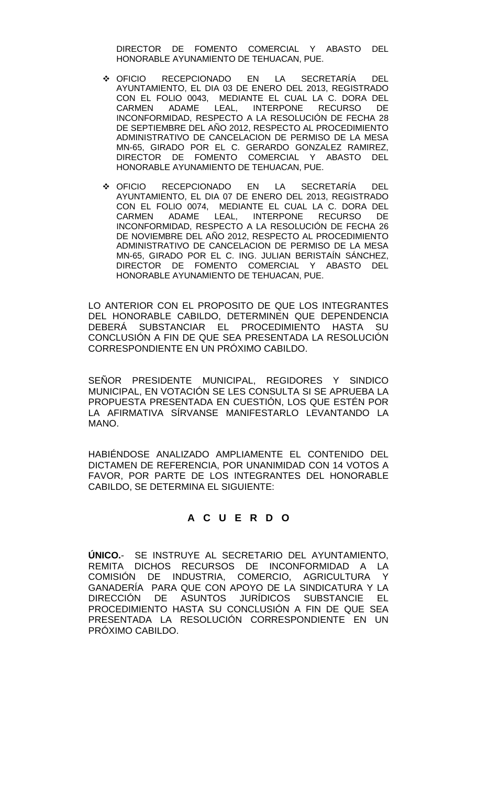DIRECTOR DE FOMENTO COMERCIAL Y ABASTO DEL HONORABLE AYUNAMIENTO DE TEHUACAN, PUE.

- OFICIO RECEPCIONADO EN LA SECRETARÍA DEL AYUNTAMIENTO, EL DIA 03 DE ENERO DEL 2013, REGISTRADO CON EL FOLIO 0043, MEDIANTE EL CUAL LA C. DORA DEL LEAL, INTERPONE INCONFORMIDAD, RESPECTO A LA RESOLUCIÓN DE FECHA 28 DE SEPTIEMBRE DEL AÑO 2012, RESPECTO AL PROCEDIMIENTO ADMINISTRATIVO DE CANCELACION DE PERMISO DE LA MESA MN-65, GIRADO POR EL C. GERARDO GONZALEZ RAMIREZ, DIRECTOR DE FOMENTO COMERCIAL Y ABASTO DEL HONORABLE AYUNAMIENTO DE TEHUACAN, PUE.
- OFICIO RECEPCIONADO EN LA SECRETARÍA DEL AYUNTAMIENTO, EL DIA 07 DE ENERO DEL 2013, REGISTRADO CON EL FOLIO 0074, MEDIANTE EL CUAL LA C. DORA DEL CARMEN ADAME LEAL, INTERPONE RECURSO DE INCONFORMIDAD, RESPECTO A LA RESOLUCIÓN DE FECHA 26 DE NOVIEMBRE DEL AÑO 2012, RESPECTO AL PROCEDIMIENTO ADMINISTRATIVO DE CANCELACION DE PERMISO DE LA MESA MN-65, GIRADO POR EL C. ING. JULIAN BERISTAÍN SÁNCHEZ, DIRECTOR DE FOMENTO COMERCIAL Y ABASTO DEL HONORABLE AYUNAMIENTO DE TEHUACAN, PUE.

LO ANTERIOR CON EL PROPOSITO DE QUE LOS INTEGRANTES DEL HONORABLE CABILDO, DETERMINEN QUE DEPENDENCIA<br>DEBERÁ SUBSTANCIAR EL PROCEDIMIENTO HASTA SU SUBSTANCIAR EL PROCEDIMIENTO HASTA SU CONCLUSIÓN A FIN DE QUE SEA PRESENTADA LA RESOLUCIÓN CORRESPONDIENTE EN UN PRÓXIMO CABILDO.

SEÑOR PRESIDENTE MUNICIPAL, REGIDORES Y SINDICO MUNICIPAL, EN VOTACIÓN SE LES CONSULTA SI SE APRUEBA LA PROPUESTA PRESENTADA EN CUESTIÓN, LOS QUE ESTÉN POR LA AFIRMATIVA SÍRVANSE MANIFESTARLO LEVANTANDO LA MANO.

HABIÉNDOSE ANALIZADO AMPLIAMENTE EL CONTENIDO DEL DICTAMEN DE REFERENCIA, POR UNANIMIDAD CON 14 VOTOS A FAVOR, POR PARTE DE LOS INTEGRANTES DEL HONORABLE CABILDO, SE DETERMINA EL SIGUIENTE:

## **A C U E R D O**

**ÚNICO.**- SE INSTRUYE AL SECRETARIO DEL AYUNTAMIENTO, REMITA DICHOS RECURSOS DE INCONFORMIDAD A LA COMISIÓN DE INDUSTRIA, COMERCIO, AGRICULTURA Y GANADERÍA PARA QUE CON APOYO DE LA SINDICATURA Y LA DIRECCIÓN DE ASUNTOS JURÍDICOS SUBSTANCIE EL PROCEDIMIENTO HASTA SU CONCLUSIÓN A FIN DE QUE SEA PRESENTADA LA RESOLUCIÓN CORRESPONDIENTE EN UN PRÓXIMO CABILDO.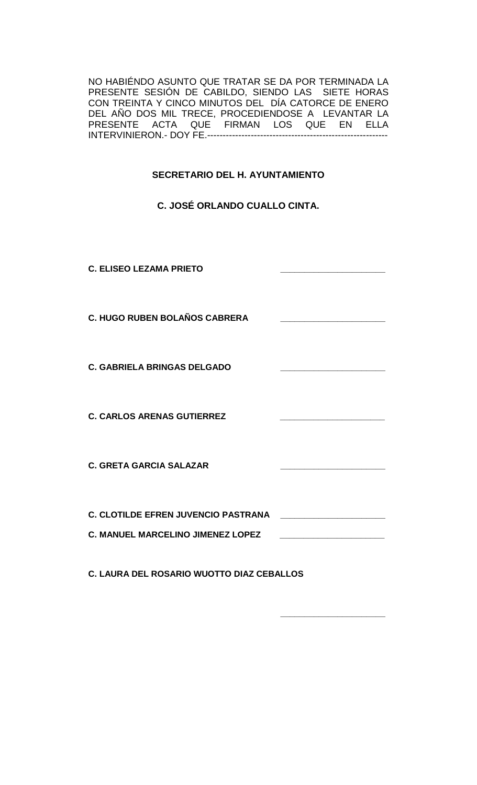NO HABIÉNDO ASUNTO QUE TRATAR SE DA POR TERMINADA LA PRESENTE SESIÓN DE CABILDO, SIENDO LAS SIETE HORAS CON TREINTA Y CINCO MINUTOS DEL DÍA CATORCE DE ENERO DEL AÑO DOS MIL TRECE, PROCEDIENDOSE A LEVANTAR LA PRESENTE ACTA QUE FIRMAN LOS QUE EN ELLA INTERVINIERON.- DOY FE.----------------------------------------------------------

# **SECRETARIO DEL H. AYUNTAMIENTO**

## **C. JOSÉ ORLANDO CUALLO CINTA.**

**C. ELISEO LEZAMA PRIETO \_\_\_\_\_\_\_\_\_\_\_\_\_\_\_\_\_\_\_\_\_\_ C. HUGO RUBEN BOLAÑOS CABRERA \_\_\_\_\_\_\_\_\_\_\_\_\_\_\_\_\_\_\_\_\_\_ C. GABRIELA BRINGAS DELGADO \_\_\_\_\_\_\_\_\_\_\_\_\_\_\_\_\_\_\_\_\_\_ C. CARLOS ARENAS GUTIERREZ \_\_\_\_\_\_\_\_\_\_\_\_\_\_\_\_\_\_\_\_\_\_ C. GRETA GARCIA SALAZAR \_\_\_\_\_\_\_\_\_\_\_\_\_\_\_\_\_\_\_\_\_\_ C. CLOTILDE EFREN JUVENCIO PASTRANA \_\_\_\_\_\_\_\_\_\_\_\_\_\_\_\_\_\_\_\_\_\_ C. MANUEL MARCELINO JIMENEZ LOPEZ \_\_\_\_\_\_\_\_\_\_\_\_\_\_\_\_\_\_\_\_\_\_**

**C. LAURA DEL ROSARIO WUOTTO DIAZ CEBALLOS**

**\_\_\_\_\_\_\_\_\_\_\_\_\_\_\_\_\_\_\_\_\_\_**